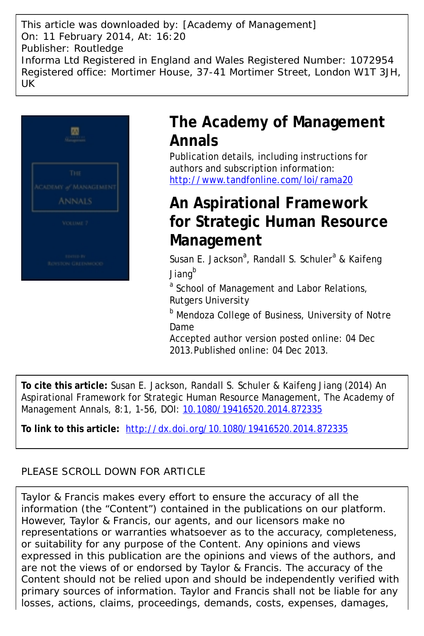This article was downloaded by: [Academy of Management] On: 11 February 2014, At: 16:20 Publisher: Routledge Informa Ltd Registered in England and Wales Registered Number: 1072954 Registered office: Mortimer House, 37-41 Mortimer Street, London W1T 3JH, UK



# **The Academy of Management Annals**

Publication details, including instructions for authors and subscription information: <http://www.tandfonline.com/loi/rama20>

# **An Aspirational Framework for Strategic Human Resource Management**

Susan E. Jackson<sup>a</sup>, Randall S. Schuler<sup>a</sup> & Kaifeng Jiang<sup>b</sup>

<sup>a</sup> School of Management and Labor Relations, Rutgers University

**b** Mendoza College of Business, University of Notre Dame

Accepted author version posted online: 04 Dec 2013.Published online: 04 Dec 2013.

**To cite this article:** Susan E. Jackson, Randall S. Schuler & Kaifeng Jiang (2014) An Aspirational Framework for Strategic Human Resource Management, The Academy of Management Annals, 8:1, 1-56, DOI: [10.1080/19416520.2014.872335](http://www.tandfonline.com/action/showCitFormats?doi=10.1080/19416520.2014.872335)

**To link to this article:** <http://dx.doi.org/10.1080/19416520.2014.872335>

# PLEASE SCROLL DOWN FOR ARTICLE

Taylor & Francis makes every effort to ensure the accuracy of all the information (the "Content") contained in the publications on our platform. However, Taylor & Francis, our agents, and our licensors make no representations or warranties whatsoever as to the accuracy, completeness, or suitability for any purpose of the Content. Any opinions and views expressed in this publication are the opinions and views of the authors, and are not the views of or endorsed by Taylor & Francis. The accuracy of the Content should not be relied upon and should be independently verified with primary sources of information. Taylor and Francis shall not be liable for any losses, actions, claims, proceedings, demands, costs, expenses, damages,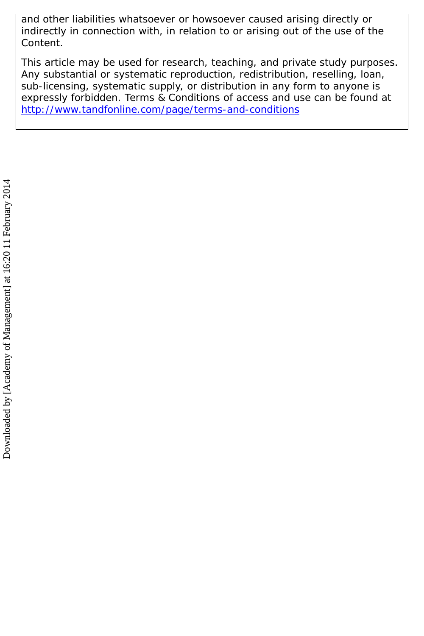and other liabilities whatsoever or howsoever caused arising directly or indirectly in connection with, in relation to or arising out of the use of the Content.

This article may be used for research, teaching, and private study purposes. Any substantial or systematic reproduction, redistribution, reselling, loan, sub-licensing, systematic supply, or distribution in any form to anyone is expressly forbidden. Terms & Conditions of access and use can be found at <http://www.tandfonline.com/page/terms-and-conditions>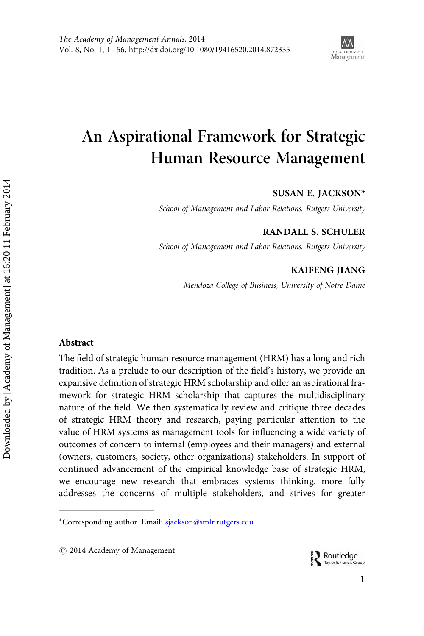

# An Aspirational Framework for Strategic Human Resource Management

# SUSAN E. JACKSON\*

School of Management and Labor Relations, Rutgers University

# RANDALL S. SCHULER

School of Management and Labor Relations, Rutgers University

# KAIFENG JIANG

Mendoza College of Business, University of Notre Dame

# Abstract

The field of strategic human resource management (HRM) has a long and rich tradition. As a prelude to our description of the field's history, we provide an expansive definition of strategic HRM scholarship and offer an aspirational framework for strategic HRM scholarship that captures the multidisciplinary nature of the field. We then systematically review and critique three decades of strategic HRM theory and research, paying particular attention to the value of HRM systems as management tools for influencing a wide variety of outcomes of concern to internal (employees and their managers) and external (owners, customers, society, other organizations) stakeholders. In support of continued advancement of the empirical knowledge base of strategic HRM, we encourage new research that embraces systems thinking, more fully addresses the concerns of multiple stakeholders, and strives for greater

<sup>∗</sup>Corresponding author. Email: [sjackson@smlr.rutgers.edu](mailto:sjackson@smlr.rutgers.edu)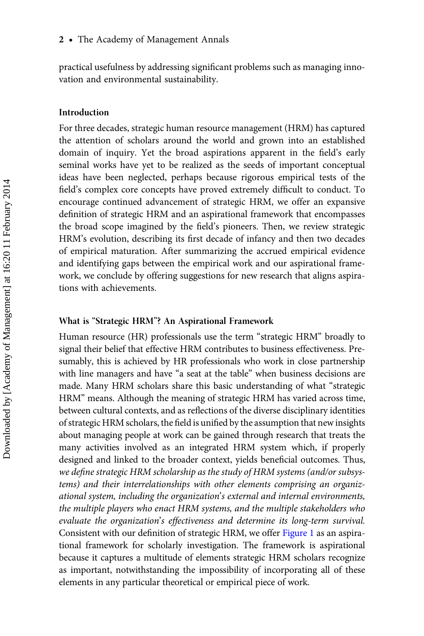practical usefulness by addressing significant problems such as managing innovation and environmental sustainability.

#### Introduction

For three decades, strategic human resource management (HRM) has captured the attention of scholars around the world and grown into an established domain of inquiry. Yet the broad aspirations apparent in the field's early seminal works have yet to be realized as the seeds of important conceptual ideas have been neglected, perhaps because rigorous empirical tests of the field's complex core concepts have proved extremely difficult to conduct. To encourage continued advancement of strategic HRM, we offer an expansive definition of strategic HRM and an aspirational framework that encompasses the broad scope imagined by the field's pioneers. Then, we review strategic HRM's evolution, describing its first decade of infancy and then two decades of empirical maturation. After summarizing the accrued empirical evidence and identifying gaps between the empirical work and our aspirational framework, we conclude by offering suggestions for new research that aligns aspirations with achievements.

# What is "Strategic HRM"? An Aspirational Framework

Human resource (HR) professionals use the term "strategic HRM" broadly to signal their belief that effective HRM contributes to business effectiveness. Presumably, this is achieved by HR professionals who work in close partnership with line managers and have "a seat at the table" when business decisions are made. Many HRM scholars share this basic understanding of what "strategic HRM" means. Although the meaning of strategic HRM has varied across time, between cultural contexts, and as reflections of the diverse disciplinary identities of strategic HRM scholars, the field is unified by the assumption that new insights about managing people at work can be gained through research that treats the many activities involved as an integrated HRM system which, if properly designed and linked to the broader context, yields beneficial outcomes. Thus, we define strategic HRM scholarship as the study of HRM systems (and/or subsystems) and their interrelationships with other elements comprising an organizational system, including the organization's external and internal environments, the multiple players who enact HRM systems, and the multiple stakeholders who evaluate the organization's effectiveness and determine its long-term survival. Consistent with our definition of strategic HRM, we offer [Figure 1](#page-4-0) as an aspirational framework for scholarly investigation. The framework is aspirational because it captures a multitude of elements strategic HRM scholars recognize as important, notwithstanding the impossibility of incorporating all of these elements in any particular theoretical or empirical piece of work.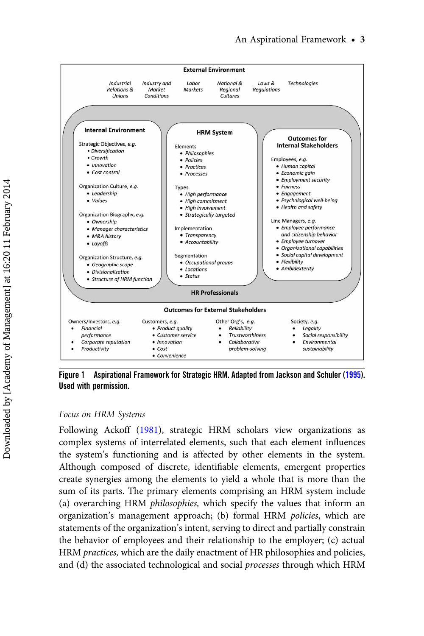<span id="page-4-0"></span>

Figure 1 Aspirational Framework for Strategic HRM. Adapted from Jackson and Schuler ([1995\)](#page-49-0). Used with permission.

# Focus on HRM Systems

Following Ackoff [\(1981](#page-43-0)), strategic HRM scholars view organizations as complex systems of interrelated elements, such that each element influences the system's functioning and is affected by other elements in the system. Although composed of discrete, identifiable elements, emergent properties create synergies among the elements to yield a whole that is more than the sum of its parts. The primary elements comprising an HRM system include (a) overarching HRM philosophies, which specify the values that inform an organization's management approach; (b) formal HRM policies, which are statements of the organization's intent, serving to direct and partially constrain the behavior of employees and their relationship to the employer; (c) actual HRM practices, which are the daily enactment of HR philosophies and policies, and (d) the associated technological and social *processes* through which HRM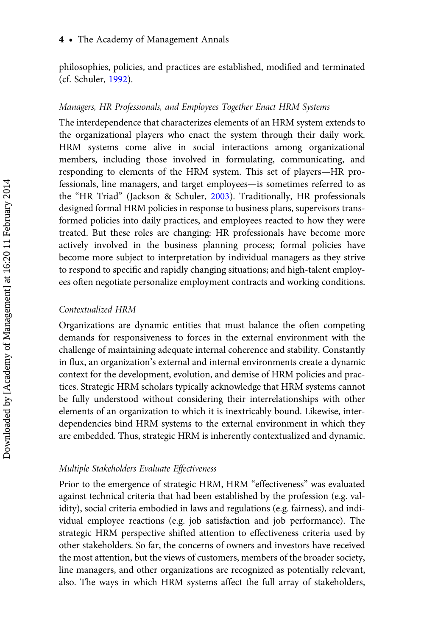philosophies, policies, and practices are established, modified and terminated (cf. Schuler, [1992\)](#page-54-0).

# Managers, HR Professionals, and Employees Together Enact HRM Systems

The interdependence that characterizes elements of an HRM system extends to the organizational players who enact the system through their daily work. HRM systems come alive in social interactions among organizational members, including those involved in formulating, communicating, and responding to elements of the HRM system. This set of players—HR professionals, line managers, and target employees—is sometimes referred to as the "HR Triad" (Jackson & Schuler, [2003\)](#page-49-0). Traditionally, HR professionals designed formal HRM policies in response to business plans, supervisors transformed policies into daily practices, and employees reacted to how they were treated. But these roles are changing: HR professionals have become more actively involved in the business planning process; formal policies have become more subject to interpretation by individual managers as they strive to respond to specific and rapidly changing situations; and high-talent employees often negotiate personalize employment contracts and working conditions.

#### Contextualized HRM

Organizations are dynamic entities that must balance the often competing demands for responsiveness to forces in the external environment with the challenge of maintaining adequate internal coherence and stability. Constantly in flux, an organization's external and internal environments create a dynamic context for the development, evolution, and demise of HRM policies and practices. Strategic HRM scholars typically acknowledge that HRM systems cannot be fully understood without considering their interrelationships with other elements of an organization to which it is inextricably bound. Likewise, interdependencies bind HRM systems to the external environment in which they are embedded. Thus, strategic HRM is inherently contextualized and dynamic.

# Multiple Stakeholders Evaluate Effectiveness

Prior to the emergence of strategic HRM, HRM "effectiveness" was evaluated against technical criteria that had been established by the profession (e.g. validity), social criteria embodied in laws and regulations (e.g. fairness), and individual employee reactions (e.g. job satisfaction and job performance). The strategic HRM perspective shifted attention to effectiveness criteria used by other stakeholders. So far, the concerns of owners and investors have received the most attention, but the views of customers, members of the broader society, line managers, and other organizations are recognized as potentially relevant, also. The ways in which HRM systems affect the full array of stakeholders,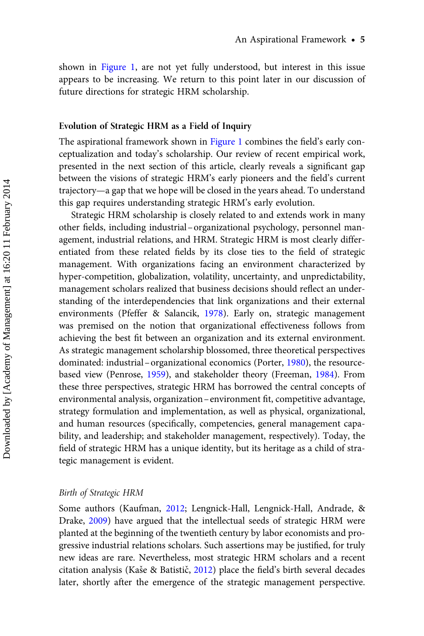shown in [Figure 1,](#page-4-0) are not yet fully understood, but interest in this issue appears to be increasing. We return to this point later in our discussion of future directions for strategic HRM scholarship.

# Evolution of Strategic HRM as a Field of Inquiry

The aspirational framework shown in [Figure 1](#page-4-0) combines the field's early conceptualization and today's scholarship. Our review of recent empirical work, presented in the next section of this article, clearly reveals a significant gap between the visions of strategic HRM's early pioneers and the field's current trajectory—a gap that we hope will be closed in the years ahead. To understand this gap requires understanding strategic HRM's early evolution.

Strategic HRM scholarship is closely related to and extends work in many other fields, including industrial – organizational psychology, personnel management, industrial relations, and HRM. Strategic HRM is most clearly differentiated from these related fields by its close ties to the field of strategic management. With organizations facing an environment characterized by hyper-competition, globalization, volatility, uncertainty, and unpredictability, management scholars realized that business decisions should reflect an understanding of the interdependencies that link organizations and their external environments (Pfeffer & Salancik, [1978](#page-52-0)). Early on, strategic management was premised on the notion that organizational effectiveness follows from achieving the best fit between an organization and its external environment. As strategic management scholarship blossomed, three theoretical perspectives dominated: industrial – organizational economics (Porter, [1980](#page-53-0)), the resourcebased view (Penrose, [1959\)](#page-52-0), and stakeholder theory (Freeman, [1984](#page-47-0)). From these three perspectives, strategic HRM has borrowed the central concepts of environmental analysis, organization –environment fit, competitive advantage, strategy formulation and implementation, as well as physical, organizational, and human resources (specifically, competencies, general management capability, and leadership; and stakeholder management, respectively). Today, the field of strategic HRM has a unique identity, but its heritage as a child of strategic management is evident.

# Birth of Strategic HRM

Some authors (Kaufman, [2012](#page-50-0); Lengnick-Hall, Lengnick-Hall, Andrade, & Drake, [2009\)](#page-51-0) have argued that the intellectual seeds of strategic HRM were planted at the beginning of the twentieth century by labor economists and progressive industrial relations scholars. Such assertions may be justified, for truly new ideas are rare. Nevertheless, most strategic HRM scholars and a recent citation analysis (Kaše & Batistič, [2012\)](#page-50-0) place the field's birth several decades later, shortly after the emergence of the strategic management perspective.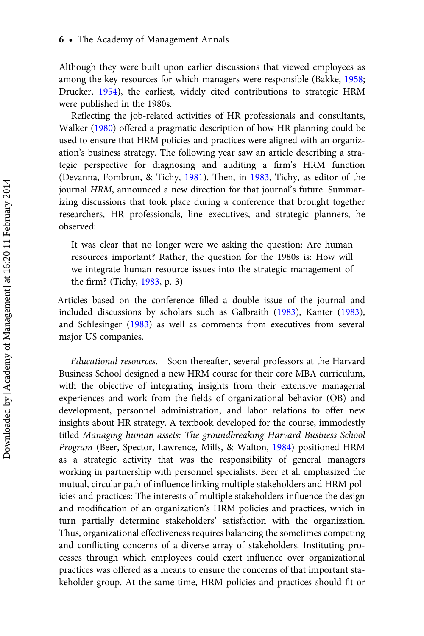Although they were built upon earlier discussions that viewed employees as among the key resources for which managers were responsible (Bakke, [1958;](#page-43-0) Drucker, [1954\)](#page-46-0), the earliest, widely cited contributions to strategic HRM were published in the 1980s.

Reflecting the job-related activities of HR professionals and consultants, Walker ([1980\)](#page-56-0) offered a pragmatic description of how HR planning could be used to ensure that HRM policies and practices were aligned with an organization's business strategy. The following year saw an article describing a strategic perspective for diagnosing and auditing a firm's HRM function (Devanna, Fombrun, & Tichy, [1981](#page-46-0)). Then, in [1983](#page-56-0), Tichy, as editor of the journal HRM, announced a new direction for that journal's future. Summarizing discussions that took place during a conference that brought together researchers, HR professionals, line executives, and strategic planners, he observed:

It was clear that no longer were we asking the question: Are human resources important? Rather, the question for the 1980s is: How will we integrate human resource issues into the strategic management of the firm? (Tichy, [1983,](#page-56-0) p. 3)

Articles based on the conference filled a double issue of the journal and included discussions by scholars such as Galbraith [\(1983](#page-47-0)), Kanter [\(1983](#page-50-0)), and Schlesinger [\(1983\)](#page-54-0) as well as comments from executives from several major US companies.

Educational resources. Soon thereafter, several professors at the Harvard Business School designed a new HRM course for their core MBA curriculum, with the objective of integrating insights from their extensive managerial experiences and work from the fields of organizational behavior (OB) and development, personnel administration, and labor relations to offer new insights about HR strategy. A textbook developed for the course, immodestly titled Managing human assets: The groundbreaking Harvard Business School Program (Beer, Spector, Lawrence, Mills, & Walton, [1984\)](#page-44-0) positioned HRM as a strategic activity that was the responsibility of general managers working in partnership with personnel specialists. Beer et al. emphasized the mutual, circular path of influence linking multiple stakeholders and HRM policies and practices: The interests of multiple stakeholders influence the design and modification of an organization's HRM policies and practices, which in turn partially determine stakeholders' satisfaction with the organization. Thus, organizational effectiveness requires balancing the sometimes competing and conflicting concerns of a diverse array of stakeholders. Instituting processes through which employees could exert influence over organizational practices was offered as a means to ensure the concerns of that important stakeholder group. At the same time, HRM policies and practices should fit or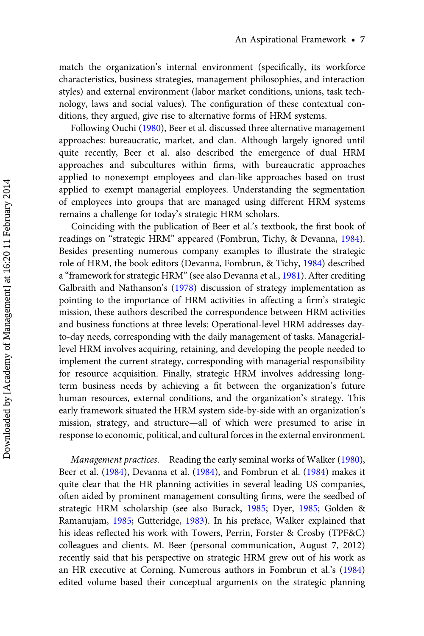match the organization's internal environment (specifically, its workforce characteristics, business strategies, management philosophies, and interaction styles) and external environment (labor market conditions, unions, task technology, laws and social values). The configuration of these contextual conditions, they argued, give rise to alternative forms of HRM systems.

Following Ouchi ([1980\)](#page-52-0), Beer et al. discussed three alternative management approaches: bureaucratic, market, and clan. Although largely ignored until quite recently, Beer et al. also described the emergence of dual HRM approaches and subcultures within firms, with bureaucratic approaches applied to nonexempt employees and clan-like approaches based on trust applied to exempt managerial employees. Understanding the segmentation of employees into groups that are managed using different HRM systems remains a challenge for today's strategic HRM scholars.

Coinciding with the publication of Beer et al.'s textbook, the first book of readings on "strategic HRM" appeared (Fombrun, Tichy, & Devanna, [1984](#page-47-0)). Besides presenting numerous company examples to illustrate the strategic role of HRM, the book editors (Devanna, Fombrun, & Tichy, [1984\)](#page-46-0) described a "framework for strategic HRM" (see also Devanna et al., [1981](#page-46-0)). After crediting Galbraith and Nathanson's ([1978](#page-47-0)) discussion of strategy implementation as pointing to the importance of HRM activities in affecting a firm's strategic mission, these authors described the correspondence between HRM activities and business functions at three levels: Operational-level HRM addresses dayto-day needs, corresponding with the daily management of tasks. Manageriallevel HRM involves acquiring, retaining, and developing the people needed to implement the current strategy, corresponding with managerial responsibility for resource acquisition. Finally, strategic HRM involves addressing longterm business needs by achieving a fit between the organization's future human resources, external conditions, and the organization's strategy. This early framework situated the HRM system side-by-side with an organization's mission, strategy, and structure—all of which were presumed to arise in response to economic, political, and cultural forces in the external environment.

Management practices. Reading the early seminal works of Walker [\(1980](#page-56-0)), Beer et al. ([1984](#page-44-0)), Devanna et al. ([1984\)](#page-46-0), and Fombrun et al. [\(1984](#page-47-0)) makes it quite clear that the HR planning activities in several leading US companies, often aided by prominent management consulting firms, were the seedbed of strategic HRM scholarship (see also Burack, [1985;](#page-44-0) Dyer, [1985;](#page-46-0) Golden & Ramanujam, [1985](#page-47-0); Gutteridge, [1983](#page-48-0)). In his preface, Walker explained that his ideas reflected his work with Towers, Perrin, Forster & Crosby (TPF&C) colleagues and clients. M. Beer (personal communication, August 7, 2012) recently said that his perspective on strategic HRM grew out of his work as an HR executive at Corning. Numerous authors in Fombrun et al.'s [\(1984\)](#page-47-0) edited volume based their conceptual arguments on the strategic planning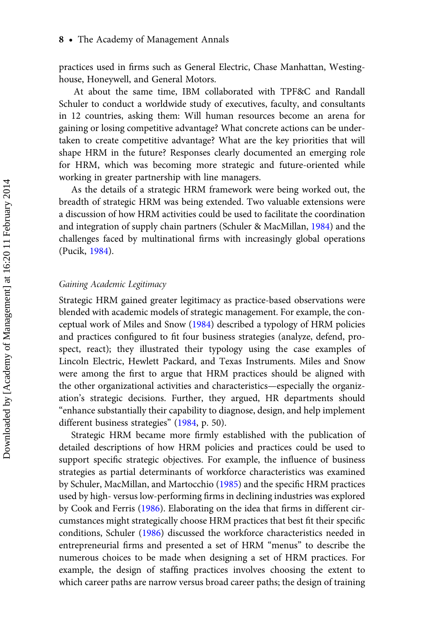practices used in firms such as General Electric, Chase Manhattan, Westinghouse, Honeywell, and General Motors.

At about the same time, IBM collaborated with TPF&C and Randall Schuler to conduct a worldwide study of executives, faculty, and consultants in 12 countries, asking them: Will human resources become an arena for gaining or losing competitive advantage? What concrete actions can be undertaken to create competitive advantage? What are the key priorities that will shape HRM in the future? Responses clearly documented an emerging role for HRM, which was becoming more strategic and future-oriented while working in greater partnership with line managers.

As the details of a strategic HRM framework were being worked out, the breadth of strategic HRM was being extended. Two valuable extensions were a discussion of how HRM activities could be used to facilitate the coordination and integration of supply chain partners (Schuler & MacMillan, [1984](#page-54-0)) and the challenges faced by multinational firms with increasingly global operations (Pucik, [1984](#page-53-0)).

# Gaining Academic Legitimacy

Strategic HRM gained greater legitimacy as practice-based observations were blended with academic models of strategic management. For example, the conceptual work of Miles and Snow ([1984\)](#page-51-0) described a typology of HRM policies and practices configured to fit four business strategies (analyze, defend, prospect, react); they illustrated their typology using the case examples of Lincoln Electric, Hewlett Packard, and Texas Instruments. Miles and Snow were among the first to argue that HRM practices should be aligned with the other organizational activities and characteristics—especially the organization's strategic decisions. Further, they argued, HR departments should "enhance substantially their capability to diagnose, design, and help implement different business strategies" ([1984,](#page-51-0) p. 50).

Strategic HRM became more firmly established with the publication of detailed descriptions of how HRM policies and practices could be used to support specific strategic objectives. For example, the influence of business strategies as partial determinants of workforce characteristics was examined by Schuler, MacMillan, and Martocchio [\(1985\)](#page-55-0) and the specific HRM practices used by high- versus low-performing firms in declining industries was explored by Cook and Ferris ([1986\)](#page-46-0). Elaborating on the idea that firms in different circumstances might strategically choose HRM practices that best fit their specific conditions, Schuler ([1986\)](#page-54-0) discussed the workforce characteristics needed in entrepreneurial firms and presented a set of HRM "menus" to describe the numerous choices to be made when designing a set of HRM practices. For example, the design of staffing practices involves choosing the extent to which career paths are narrow versus broad career paths; the design of training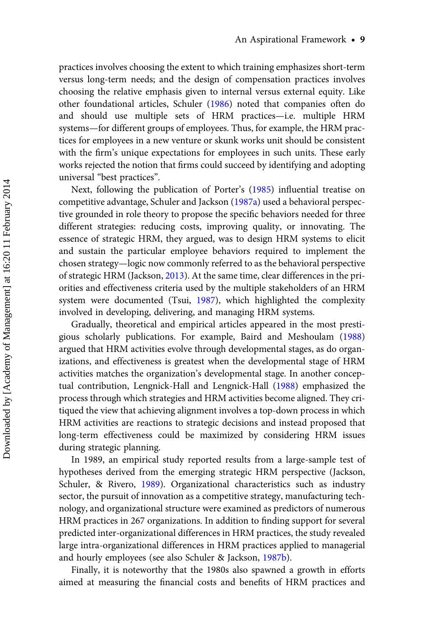practices involves choosing the extent to which training emphasizes short-term versus long-term needs; and the design of compensation practices involves choosing the relative emphasis given to internal versus external equity. Like other foundational articles, Schuler [\(1986](#page-54-0)) noted that companies often do and should use multiple sets of HRM practices—i.e. multiple HRM systems—for different groups of employees. Thus, for example, the HRM practices for employees in a new venture or skunk works unit should be consistent with the firm's unique expectations for employees in such units. These early works rejected the notion that firms could succeed by identifying and adopting universal "best practices".

Next, following the publication of Porter's ([1985](#page-53-0)) influential treatise on competitive advantage, Schuler and Jackson ([1987a](#page-54-0)) used a behavioral perspective grounded in role theory to propose the specific behaviors needed for three different strategies: reducing costs, improving quality, or innovating. The essence of strategic HRM, they argued, was to design HRM systems to elicit and sustain the particular employee behaviors required to implement the chosen strategy—logic now commonly referred to as the behavioral perspective of strategic HRM (Jackson, [2013\)](#page-49-0). At the same time, clear differences in the priorities and effectiveness criteria used by the multiple stakeholders of an HRM system were documented (Tsui, [1987](#page-56-0)), which highlighted the complexity involved in developing, delivering, and managing HRM systems.

Gradually, theoretical and empirical articles appeared in the most prestigious scholarly publications. For example, Baird and Meshoulam [\(1988\)](#page-43-0) argued that HRM activities evolve through developmental stages, as do organizations, and effectiveness is greatest when the developmental stage of HRM activities matches the organization's developmental stage. In another conceptual contribution, Lengnick-Hall and Lengnick-Hall [\(1988\)](#page-50-0) emphasized the process through which strategies and HRM activities become aligned. They critiqued the view that achieving alignment involves a top-down process in which HRM activities are reactions to strategic decisions and instead proposed that long-term effectiveness could be maximized by considering HRM issues during strategic planning.

In 1989, an empirical study reported results from a large-sample test of hypotheses derived from the emerging strategic HRM perspective (Jackson, Schuler, & Rivero, [1989\)](#page-49-0). Organizational characteristics such as industry sector, the pursuit of innovation as a competitive strategy, manufacturing technology, and organizational structure were examined as predictors of numerous HRM practices in 267 organizations. In addition to finding support for several predicted inter-organizational differences in HRM practices, the study revealed large intra-organizational differences in HRM practices applied to managerial and hourly employees (see also Schuler & Jackson, [1987b\)](#page-54-0).

Finally, it is noteworthy that the 1980s also spawned a growth in efforts aimed at measuring the financial costs and benefits of HRM practices and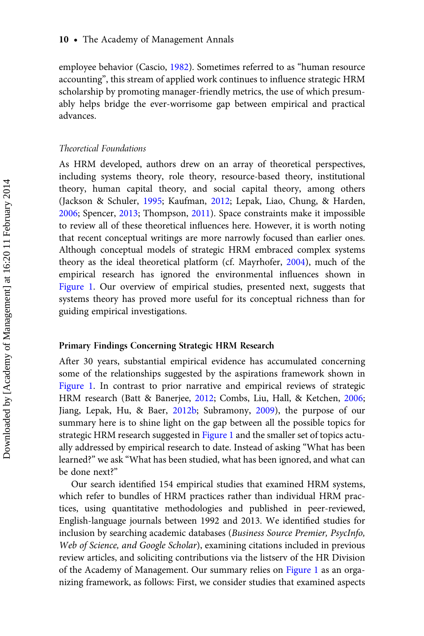employee behavior (Cascio, [1982](#page-44-0)). Sometimes referred to as "human resource accounting", this stream of applied work continues to influence strategic HRM scholarship by promoting manager-friendly metrics, the use of which presumably helps bridge the ever-worrisome gap between empirical and practical advances.

# Theoretical Foundations

As HRM developed, authors drew on an array of theoretical perspectives, including systems theory, role theory, resource-based theory, institutional theory, human capital theory, and social capital theory, among others (Jackson & Schuler, [1995;](#page-49-0) Kaufman, [2012](#page-50-0); Lepak, Liao, Chung, & Harden, [2006](#page-51-0); Spencer, [2013;](#page-55-0) Thompson, [2011](#page-56-0)). Space constraints make it impossible to review all of these theoretical influences here. However, it is worth noting that recent conceptual writings are more narrowly focused than earlier ones. Although conceptual models of strategic HRM embraced complex systems theory as the ideal theoretical platform (cf. Mayrhofer, [2004\)](#page-51-0), much of the empirical research has ignored the environmental influences shown in [Figure 1.](#page-4-0) Our overview of empirical studies, presented next, suggests that systems theory has proved more useful for its conceptual richness than for guiding empirical investigations.

#### Primary Findings Concerning Strategic HRM Research

After 30 years, substantial empirical evidence has accumulated concerning some of the relationships suggested by the aspirations framework shown in [Figure 1.](#page-4-0) In contrast to prior narrative and empirical reviews of strategic HRM research (Batt & Banerjee, [2012;](#page-44-0) Combs, Liu, Hall, & Ketchen, [2006;](#page-45-0) Jiang, Lepak, Hu, & Baer, [2012b](#page-49-0); Subramony, [2009\)](#page-55-0), the purpose of our summary here is to shine light on the gap between all the possible topics for strategic HRM research suggested in [Figure 1](#page-4-0) and the smaller set of topics actually addressed by empirical research to date. Instead of asking "What has been learned?" we ask "What has been studied, what has been ignored, and what can be done next?"

Our search identified 154 empirical studies that examined HRM systems, which refer to bundles of HRM practices rather than individual HRM practices, using quantitative methodologies and published in peer-reviewed, English-language journals between 1992 and 2013. We identified studies for inclusion by searching academic databases (Business Source Premier, PsycInfo, Web of Science, and Google Scholar), examining citations included in previous review articles, and soliciting contributions via the listserv of the HR Division of the Academy of Management. Our summary relies on [Figure 1](#page-4-0) as an organizing framework, as follows: First, we consider studies that examined aspects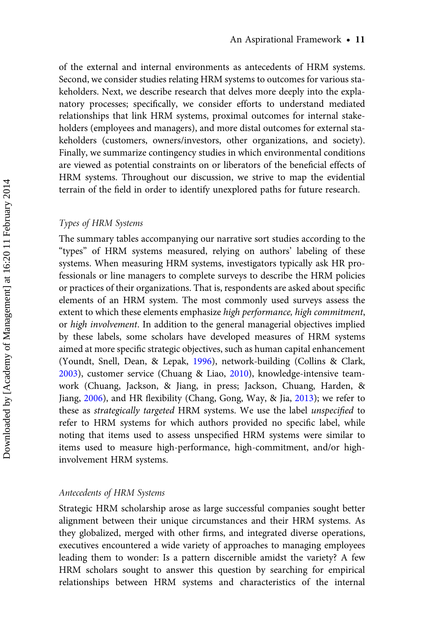of the external and internal environments as antecedents of HRM systems. Second, we consider studies relating HRM systems to outcomes for various stakeholders. Next, we describe research that delves more deeply into the explanatory processes; specifically, we consider efforts to understand mediated relationships that link HRM systems, proximal outcomes for internal stakeholders (employees and managers), and more distal outcomes for external stakeholders (customers, owners/investors, other organizations, and society). Finally, we summarize contingency studies in which environmental conditions are viewed as potential constraints on or liberators of the beneficial effects of HRM systems. Throughout our discussion, we strive to map the evidential terrain of the field in order to identify unexplored paths for future research.

# Types of HRM Systems

The summary tables accompanying our narrative sort studies according to the "types" of HRM systems measured, relying on authors' labeling of these systems. When measuring HRM systems, investigators typically ask HR professionals or line managers to complete surveys to describe the HRM policies or practices of their organizations. That is, respondents are asked about specific elements of an HRM system. The most commonly used surveys assess the extent to which these elements emphasize high performance, high commitment, or high involvement. In addition to the general managerial objectives implied by these labels, some scholars have developed measures of HRM systems aimed at more specific strategic objectives, such as human capital enhancement (Youndt, Snell, Dean, & Lepak, [1996\)](#page-57-0), network-building (Collins & Clark, [2003](#page-45-0)), customer service (Chuang & Liao, [2010](#page-45-0)), knowledge-intensive teamwork (Chuang, Jackson, & Jiang, in press; Jackson, Chuang, Harden, & Jiang, [2006\)](#page-49-0), and HR flexibility (Chang, Gong, Way, & Jia, [2013\)](#page-45-0); we refer to these as strategically targeted HRM systems. We use the label unspecified to refer to HRM systems for which authors provided no specific label, while noting that items used to assess unspecified HRM systems were similar to items used to measure high-performance, high-commitment, and/or highinvolvement HRM systems.

# Antecedents of HRM Systems

Strategic HRM scholarship arose as large successful companies sought better alignment between their unique circumstances and their HRM systems. As they globalized, merged with other firms, and integrated diverse operations, executives encountered a wide variety of approaches to managing employees leading them to wonder: Is a pattern discernible amidst the variety? A few HRM scholars sought to answer this question by searching for empirical relationships between HRM systems and characteristics of the internal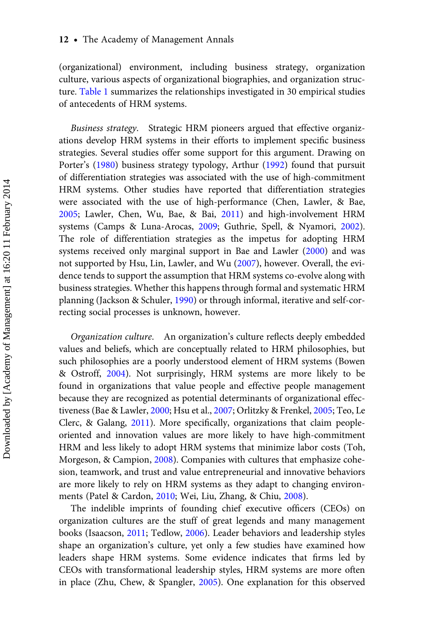(organizational) environment, including business strategy, organization culture, various aspects of organizational biographies, and organization structure. [Table 1](#page-14-0) summarizes the relationships investigated in 30 empirical studies of antecedents of HRM systems.

Business strategy. Strategic HRM pioneers argued that effective organizations develop HRM systems in their efforts to implement specific business strategies. Several studies offer some support for this argument. Drawing on Porter's ([1980](#page-53-0)) business strategy typology, Arthur ([1992\)](#page-43-0) found that pursuit of differentiation strategies was associated with the use of high-commitment HRM systems. Other studies have reported that differentiation strategies were associated with the use of high-performance (Chen, Lawler, & Bae, [2005](#page-45-0); Lawler, Chen, Wu, Bae, & Bai, [2011\)](#page-50-0) and high-involvement HRM systems (Camps & Luna-Arocas, [2009](#page-44-0); Guthrie, Spell, & Nyamori, [2002](#page-48-0)). The role of differentiation strategies as the impetus for adopting HRM systems received only marginal support in Bae and Lawler ([2000\)](#page-43-0) and was not supported by Hsu, Lin, Lawler, and Wu ([2007\)](#page-48-0), however. Overall, the evidence tends to support the assumption that HRM systems co-evolve along with business strategies. Whether this happens through formal and systematic HRM planning (Jackson & Schuler, [1990](#page-49-0)) or through informal, iterative and self-correcting social processes is unknown, however.

Organization culture. An organization's culture reflects deeply embedded values and beliefs, which are conceptually related to HRM philosophies, but such philosophies are a poorly understood element of HRM systems (Bowen & Ostroff, [2004\)](#page-44-0). Not surprisingly, HRM systems are more likely to be found in organizations that value people and effective people management because they are recognized as potential determinants of organizational effectiveness (Bae & Lawler, [2000;](#page-43-0) Hsu et al., [2007](#page-48-0); Orlitzky & Frenkel, [2005;](#page-52-0) Teo, Le Clerc, & Galang, [2011\)](#page-55-0). More specifically, organizations that claim peopleoriented and innovation values are more likely to have high-commitment HRM and less likely to adopt HRM systems that minimize labor costs (Toh, Morgeson, & Campion, [2008](#page-56-0)). Companies with cultures that emphasize cohesion, teamwork, and trust and value entrepreneurial and innovative behaviors are more likely to rely on HRM systems as they adapt to changing environments (Patel & Cardon, [2010](#page-52-0); Wei, Liu, Zhang, & Chiu, [2008](#page-57-0)).

The indelible imprints of founding chief executive officers (CEOs) on organization cultures are the stuff of great legends and many management books (Isaacson, [2011;](#page-48-0) Tedlow, [2006](#page-55-0)). Leader behaviors and leadership styles shape an organization's culture, yet only a few studies have examined how leaders shape HRM systems. Some evidence indicates that firms led by CEOs with transformational leadership styles, HRM systems are more often in place (Zhu, Chew, & Spangler, [2005\)](#page-57-0). One explanation for this observed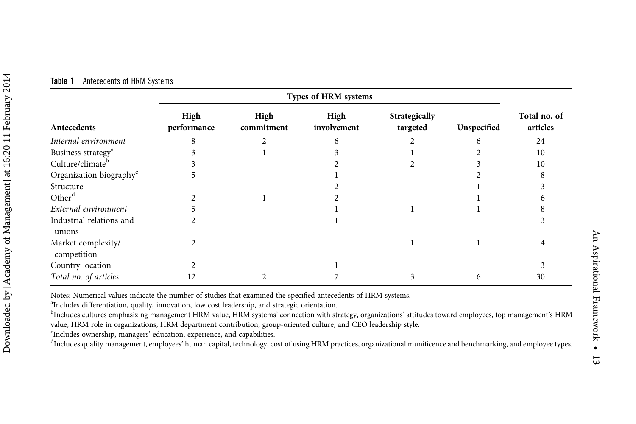#### <span id="page-14-0"></span>Table 1 Antecedents of HRM Systems

| Antecedents                         | High<br>performance | High<br>commitment | High<br>involvement | Strategically<br>targeted | Unspecified | Total no. of<br>articles |  |
|-------------------------------------|---------------------|--------------------|---------------------|---------------------------|-------------|--------------------------|--|
| Internal environment                |                     |                    |                     |                           | 6           | 24                       |  |
| Business strategy <sup>a</sup>      |                     |                    |                     |                           |             | 10                       |  |
| Culture/climate <sup>b</sup>        |                     |                    |                     |                           |             | 10                       |  |
| Organization biography <sup>c</sup> | C                   |                    |                     |                           |             | 8                        |  |
| Structure                           |                     |                    |                     |                           |             |                          |  |
| Other <sup>d</sup>                  |                     |                    |                     |                           |             |                          |  |
| External environment                |                     |                    |                     |                           |             |                          |  |
| Industrial relations and<br>unions  |                     |                    |                     |                           |             |                          |  |
| Market complexity/<br>competition   |                     |                    |                     |                           |             | 4                        |  |
| Country location                    |                     |                    |                     |                           |             |                          |  |
| Total no. of articles               | 12                  |                    |                     |                           | 6           | 30                       |  |

Notes: Numerical values indicate the number of studies that examined the specified antecedents of HRM systems.

<sup>a</sup>Includes differentiation, quality, innovation, low cost leadership, and strategic orientation.

<sup>b</sup>Includes cultures emphasizing management HRM value, HRM systems' connection with strategy, organizations' attitudes toward employees, top management's HRM value, HRM role in organizations, HRM department contribution, group-oriented culture, and CEO leadership style.

<sup>c</sup>Includes ownership, managers' education, experience, and capabilities.

<sup>d</sup>Includes quality management, employees' human capital, technology, cost of using HRM practices, organizational munificence and benchmarking, and employee types.

An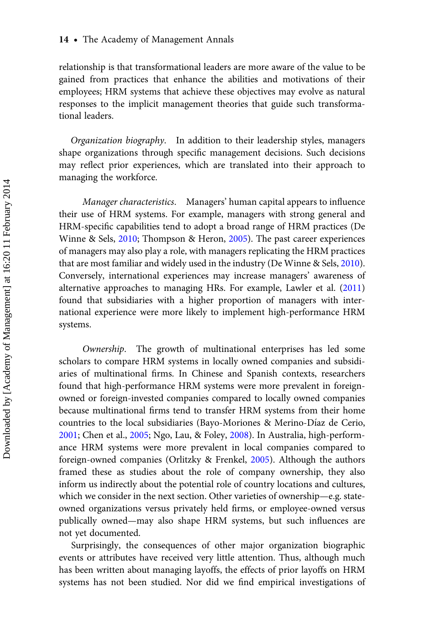relationship is that transformational leaders are more aware of the value to be gained from practices that enhance the abilities and motivations of their employees; HRM systems that achieve these objectives may evolve as natural responses to the implicit management theories that guide such transformational leaders.

Organization biography. In addition to their leadership styles, managers shape organizations through specific management decisions. Such decisions may reflect prior experiences, which are translated into their approach to managing the workforce.

Manager characteristics. Managers' human capital appears to influence their use of HRM systems. For example, managers with strong general and HRM-specific capabilities tend to adopt a broad range of HRM practices (De Winne & Sels, [2010;](#page-46-0) Thompson & Heron, [2005](#page-56-0)). The past career experiences of managers may also play a role, with managers replicating the HRM practices that are most familiar and widely used in the industry (De Winne & Sels, [2010](#page-46-0)). Conversely, international experiences may increase managers' awareness of alternative approaches to managing HRs. For example, Lawler et al. [\(2011\)](#page-50-0) found that subsidiaries with a higher proportion of managers with international experience were more likely to implement high-performance HRM systems.

Ownership. The growth of multinational enterprises has led some scholars to compare HRM systems in locally owned companies and subsidiaries of multinational firms. In Chinese and Spanish contexts, researchers found that high-performance HRM systems were more prevalent in foreignowned or foreign-invested companies compared to locally owned companies because multinational firms tend to transfer HRM systems from their home countries to the local subsidiaries (Bayo-Moriones & Merino-Díaz de Cerio, [2001](#page-44-0); Chen et al., [2005](#page-45-0); Ngo, Lau, & Foley, [2008](#page-52-0)). In Australia, high-performance HRM systems were more prevalent in local companies compared to foreign-owned companies (Orlitzky & Frenkel, [2005\)](#page-52-0). Although the authors framed these as studies about the role of company ownership, they also inform us indirectly about the potential role of country locations and cultures, which we consider in the next section. Other varieties of ownership—e.g. stateowned organizations versus privately held firms, or employee-owned versus publically owned—may also shape HRM systems, but such influences are not yet documented.

Surprisingly, the consequences of other major organization biographic events or attributes have received very little attention. Thus, although much has been written about managing layoffs, the effects of prior layoffs on HRM systems has not been studied. Nor did we find empirical investigations of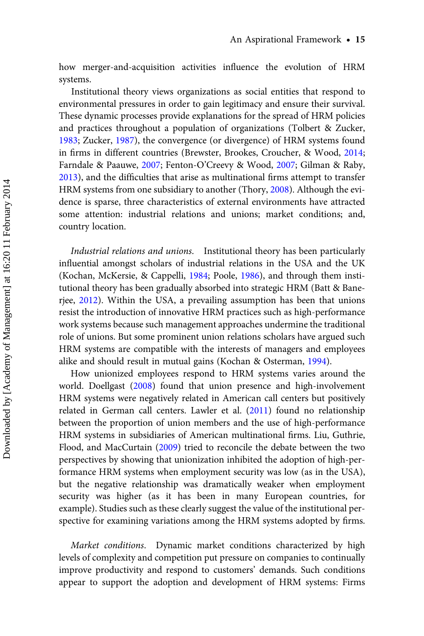how merger-and-acquisition activities influence the evolution of HRM systems.

Institutional theory views organizations as social entities that respond to environmental pressures in order to gain legitimacy and ensure their survival. These dynamic processes provide explanations for the spread of HRM policies and practices throughout a population of organizations (Tolbert & Zucker, [1983](#page-56-0); Zucker, [1987\)](#page-57-0), the convergence (or divergence) of HRM systems found in firms in different countries (Brewster, Brookes, Croucher, & Wood, [2014;](#page-44-0) Farndale & Paauwe, [2007](#page-46-0); Fenton-O'Creevy & Wood, [2007;](#page-46-0) Gilman & Raby, [2013](#page-47-0)), and the difficulties that arise as multinational firms attempt to transfer HRM systems from one subsidiary to another (Thory, [2008\)](#page-56-0). Although the evidence is sparse, three characteristics of external environments have attracted some attention: industrial relations and unions; market conditions; and, country location.

Industrial relations and unions. Institutional theory has been particularly influential amongst scholars of industrial relations in the USA and the UK (Kochan, McKersie, & Cappelli, [1984;](#page-50-0) Poole, [1986](#page-53-0)), and through them institutional theory has been gradually absorbed into strategic HRM (Batt & Banerjee, [2012\)](#page-44-0). Within the USA, a prevailing assumption has been that unions resist the introduction of innovative HRM practices such as high-performance work systems because such management approaches undermine the traditional role of unions. But some prominent union relations scholars have argued such HRM systems are compatible with the interests of managers and employees alike and should result in mutual gains (Kochan & Osterman, [1994\)](#page-50-0).

How unionized employees respond to HRM systems varies around the world. Doellgast ([2008](#page-46-0)) found that union presence and high-involvement HRM systems were negatively related in American call centers but positively related in German call centers. Lawler et al. [\(2011](#page-50-0)) found no relationship between the proportion of union members and the use of high-performance HRM systems in subsidiaries of American multinational firms. Liu, Guthrie, Flood, and MacCurtain ([2009\)](#page-51-0) tried to reconcile the debate between the two perspectives by showing that unionization inhibited the adoption of high-performance HRM systems when employment security was low (as in the USA), but the negative relationship was dramatically weaker when employment security was higher (as it has been in many European countries, for example). Studies such as these clearly suggest the value of the institutional perspective for examining variations among the HRM systems adopted by firms.

Market conditions. Dynamic market conditions characterized by high levels of complexity and competition put pressure on companies to continually improve productivity and respond to customers' demands. Such conditions appear to support the adoption and development of HRM systems: Firms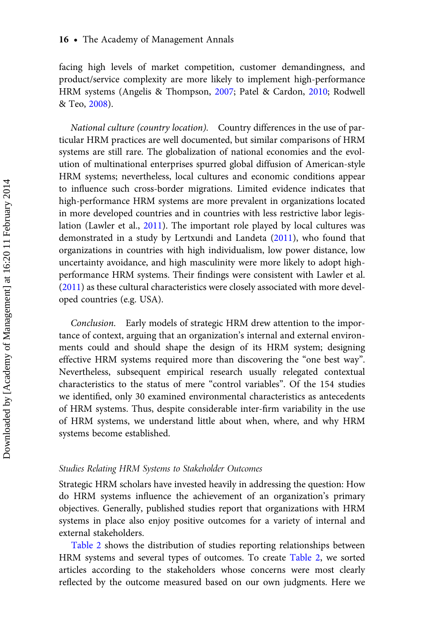facing high levels of market competition, customer demandingness, and product/service complexity are more likely to implement high-performance HRM systems (Angelis & Thompson, [2007;](#page-43-0) Patel & Cardon, [2010;](#page-52-0) Rodwell & Teo, [2008\)](#page-53-0).

National culture (country location). Country differences in the use of particular HRM practices are well documented, but similar comparisons of HRM systems are still rare. The globalization of national economies and the evolution of multinational enterprises spurred global diffusion of American-style HRM systems; nevertheless, local cultures and economic conditions appear to influence such cross-border migrations. Limited evidence indicates that high-performance HRM systems are more prevalent in organizations located in more developed countries and in countries with less restrictive labor legislation (Lawler et al., [2011](#page-50-0)). The important role played by local cultures was demonstrated in a study by Lertxundi and Landeta [\(2011](#page-51-0)), who found that organizations in countries with high individualism, low power distance, low uncertainty avoidance, and high masculinity were more likely to adopt highperformance HRM systems. Their findings were consistent with Lawler et al. [\(2011\)](#page-50-0) as these cultural characteristics were closely associated with more developed countries (e.g. USA).

Conclusion. Early models of strategic HRM drew attention to the importance of context, arguing that an organization's internal and external environments could and should shape the design of its HRM system; designing effective HRM systems required more than discovering the "one best way". Nevertheless, subsequent empirical research usually relegated contextual characteristics to the status of mere "control variables". Of the 154 studies we identified, only 30 examined environmental characteristics as antecedents of HRM systems. Thus, despite considerable inter-firm variability in the use of HRM systems, we understand little about when, where, and why HRM systems become established.

#### Studies Relating HRM Systems to Stakeholder Outcomes

Strategic HRM scholars have invested heavily in addressing the question: How do HRM systems influence the achievement of an organization's primary objectives. Generally, published studies report that organizations with HRM systems in place also enjoy positive outcomes for a variety of internal and external stakeholders.

[Table 2](#page-18-0) shows the distribution of studies reporting relationships between HRM systems and several types of outcomes. To create [Table 2](#page-18-0), we sorted articles according to the stakeholders whose concerns were most clearly reflected by the outcome measured based on our own judgments. Here we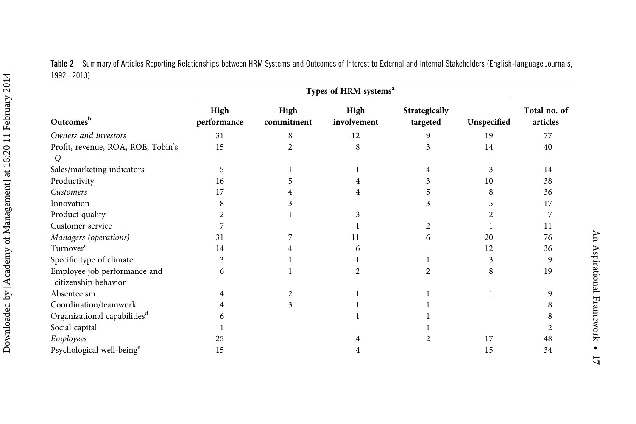<span id="page-18-0"></span>

|            | Table 2 Summary of Articles Reporting Relationships between HRM Systems and Outcomes of Interest to External and Internal Stakeholders (English-language Journals, |  |  |  |  |  |
|------------|--------------------------------------------------------------------------------------------------------------------------------------------------------------------|--|--|--|--|--|
| 1992-2013) |                                                                                                                                                                    |  |  |  |  |  |

|                                                      | Types of HRM systems <sup>a</sup> |                    |                     |                           |             |                          |  |
|------------------------------------------------------|-----------------------------------|--------------------|---------------------|---------------------------|-------------|--------------------------|--|
| Outcomes <sup>b</sup>                                | High<br>performance               | High<br>commitment | High<br>involvement | Strategically<br>targeted | Unspecified | Total no. of<br>articles |  |
| Owners and investors                                 | 31                                | 8                  | 12                  |                           | 19          | 77                       |  |
| Profit, revenue, ROA, ROE, Tobin's                   | 15                                | 2                  | 8                   | 3                         | 14          | 40                       |  |
| Sales/marketing indicators                           | 5                                 |                    |                     |                           | 3           | 14                       |  |
| Productivity                                         | 16                                |                    |                     |                           | 10          | 38                       |  |
| Customers                                            | 17                                |                    |                     |                           |             | 36                       |  |
| Innovation                                           | 8                                 |                    |                     |                           |             | 17                       |  |
| Product quality                                      |                                   |                    |                     |                           |             |                          |  |
| Customer service                                     |                                   |                    |                     |                           |             | 11                       |  |
| Managers (operations)                                | 31                                |                    | 11                  | 6                         | 20          | 76                       |  |
| Turnover <sup>c</sup>                                | 14                                |                    |                     |                           | 12          | 36                       |  |
| Specific type of climate                             | 3                                 |                    |                     |                           | 3           | 9                        |  |
| Employee job performance and<br>citizenship behavior | 6                                 |                    |                     |                           | 8           | 19                       |  |
| Absenteeism                                          |                                   |                    |                     |                           |             |                          |  |
| Coordination/teamwork                                |                                   | 3                  |                     |                           |             |                          |  |
| Organizational capabilities <sup>d</sup>             | h                                 |                    |                     |                           |             |                          |  |
| Social capital                                       |                                   |                    |                     |                           |             |                          |  |
| Employees                                            | 25                                |                    |                     |                           | 17          | 48                       |  |
| Psychological well-being <sup>e</sup>                | 15                                |                    |                     |                           | 15          | 34                       |  |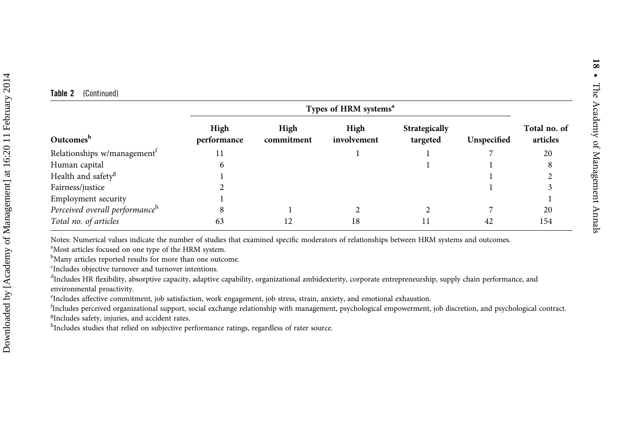|                                            | Types of HRM systems <sup>a</sup> |                    |                     |                           |             |                          |  |
|--------------------------------------------|-----------------------------------|--------------------|---------------------|---------------------------|-------------|--------------------------|--|
| Outcomes <sup>b</sup>                      | High<br>performance               | High<br>commitment | High<br>involvement | Strategically<br>targeted | Unspecified | Total no. of<br>articles |  |
| Relationships w/management <sup>†</sup>    | 11                                |                    |                     |                           |             | 20                       |  |
| Human capital                              | 6                                 |                    |                     |                           |             | 8                        |  |
| Health and safety <sup>g</sup>             |                                   |                    |                     |                           |             |                          |  |
| Fairness/justice                           |                                   |                    |                     |                           |             |                          |  |
| Employment security                        |                                   |                    |                     |                           |             |                          |  |
| Perceived overall performance <sup>h</sup> | 8                                 |                    |                     |                           |             | 20                       |  |
| Total no. of articles                      | 63                                | 12                 | 18                  |                           | 42          | 154                      |  |

Notes: Numerical values indicate the number of studies that examined specific moderators of relationships between HRM systems and outcomes.

<sup>a</sup>Most articles focused on one type of the HRM system.

b<sub>Many</sub> articles reported results for more than one outcome.

<sup>c</sup>Includes objective turnover and turnover intentions.

 $^{d}$ Includes HR flexibility, absorptive capacity, adaptive capability, organizational ambidexterity, corporate entrepreneurship, supply chain performance, and environmental proactivity.

<sup>e</sup>Includes affective commitment, job satisfaction, work engagement, job stress, strain, anxiety, and emotional exhaustion.

fIncludes perceived organizational support, social exchange relationship with management, psychological empowerment, job discretion, and psychological contract. <sup>g</sup>Includes safety, injuries, and accident rates.

hIncludes studies that relied on subjective performance ratings, regardless of rater source.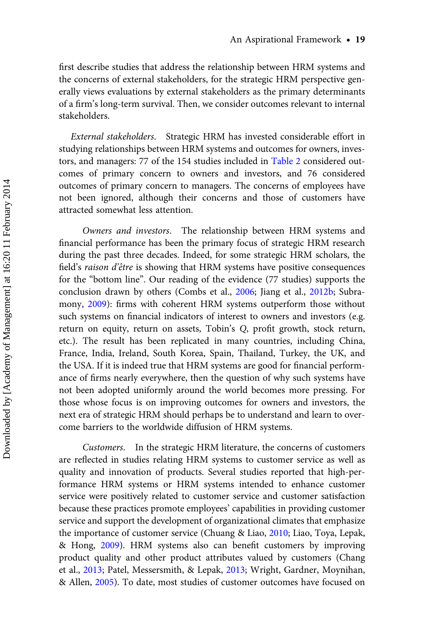first describe studies that address the relationship between HRM systems and the concerns of external stakeholders, for the strategic HRM perspective generally views evaluations by external stakeholders as the primary determinants of a firm's long-term survival. Then, we consider outcomes relevant to internal stakeholders.

External stakeholders. Strategic HRM has invested considerable effort in studying relationships between HRM systems and outcomes for owners, investors, and managers: 77 of the 154 studies included in [Table 2](#page-18-0) considered outcomes of primary concern to owners and investors, and 76 considered outcomes of primary concern to managers. The concerns of employees have not been ignored, although their concerns and those of customers have attracted somewhat less attention.

Owners and investors. The relationship between HRM systems and financial performance has been the primary focus of strategic HRM research during the past three decades. Indeed, for some strategic HRM scholars, the field's raison d'être is showing that HRM systems have positive consequences for the "bottom line". Our reading of the evidence (77 studies) supports the conclusion drawn by others (Combs et al., [2006](#page-45-0); Jiang et al., [2012b](#page-49-0); Subramony, [2009\)](#page-55-0): firms with coherent HRM systems outperform those without such systems on financial indicators of interest to owners and investors (e.g. return on equity, return on assets, Tobin's Q, profit growth, stock return, etc.). The result has been replicated in many countries, including China, France, India, Ireland, South Korea, Spain, Thailand, Turkey, the UK, and the USA. If it is indeed true that HRM systems are good for financial performance of firms nearly everywhere, then the question of why such systems have not been adopted uniformly around the world becomes more pressing. For those whose focus is on improving outcomes for owners and investors, the next era of strategic HRM should perhaps be to understand and learn to overcome barriers to the worldwide diffusion of HRM systems.

Customers. In the strategic HRM literature, the concerns of customers are reflected in studies relating HRM systems to customer service as well as quality and innovation of products. Several studies reported that high-performance HRM systems or HRM systems intended to enhance customer service were positively related to customer service and customer satisfaction because these practices promote employees' capabilities in providing customer service and support the development of organizational climates that emphasize the importance of customer service (Chuang & Liao, [2010](#page-45-0); Liao, Toya, Lepak, & Hong, [2009\)](#page-51-0). HRM systems also can benefit customers by improving product quality and other product attributes valued by customers (Chang et al., [2013](#page-45-0); Patel, Messersmith, & Lepak, [2013;](#page-52-0) Wright, Gardner, Moynihan, & Allen, [2005\)](#page-57-0). To date, most studies of customer outcomes have focused on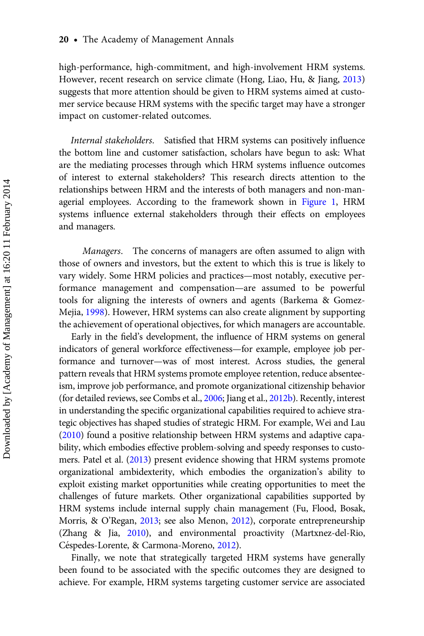high-performance, high-commitment, and high-involvement HRM systems. However, recent research on service climate (Hong, Liao, Hu, & Jiang, [2013\)](#page-48-0) suggests that more attention should be given to HRM systems aimed at customer service because HRM systems with the specific target may have a stronger impact on customer-related outcomes.

Internal stakeholders. Satisfied that HRM systems can positively influence the bottom line and customer satisfaction, scholars have begun to ask: What are the mediating processes through which HRM systems influence outcomes of interest to external stakeholders? This research directs attention to the relationships between HRM and the interests of both managers and non-managerial employees. According to the framework shown in [Figure 1](#page-4-0), HRM systems influence external stakeholders through their effects on employees and managers.

Managers. The concerns of managers are often assumed to align with those of owners and investors, but the extent to which this is true is likely to vary widely. Some HRM policies and practices—most notably, executive performance management and compensation—are assumed to be powerful tools for aligning the interests of owners and agents (Barkema & Gomez-Mejia, [1998](#page-43-0)). However, HRM systems can also create alignment by supporting the achievement of operational objectives, for which managers are accountable.

Early in the field's development, the influence of HRM systems on general indicators of general workforce effectiveness—for example, employee job performance and turnover—was of most interest. Across studies, the general pattern reveals that HRM systems promote employee retention, reduce absenteeism, improve job performance, and promote organizational citizenship behavior (for detailed reviews, see Combs et al., [2006](#page-45-0); Jiang et al., [2012b\)](#page-49-0). Recently, interest in understanding the specific organizational capabilities required to achieve strategic objectives has shaped studies of strategic HRM. For example, Wei and Lau [\(2010](#page-57-0)) found a positive relationship between HRM systems and adaptive capability, which embodies effective problem-solving and speedy responses to customers. Patel et al. [\(2013\)](#page-52-0) present evidence showing that HRM systems promote organizational ambidexterity, which embodies the organization's ability to exploit existing market opportunities while creating opportunities to meet the challenges of future markets. Other organizational capabilities supported by HRM systems include internal supply chain management (Fu, Flood, Bosak, Morris, & O'Regan, [2013;](#page-47-0) see also Menon, [2012\)](#page-51-0), corporate entrepreneurship (Zhang & Jia, [2010](#page-57-0)), and environmental proactivity (Martxnez-del-Rio, Céspedes-Lorente, & Carmona-Moreno, [2012](#page-51-0)).

Finally, we note that strategically targeted HRM systems have generally been found to be associated with the specific outcomes they are designed to achieve. For example, HRM systems targeting customer service are associated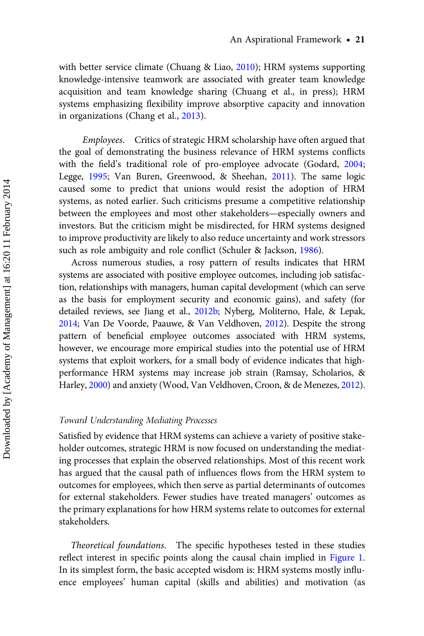with better service climate (Chuang & Liao, [2010\)](#page-45-0); HRM systems supporting knowledge-intensive teamwork are associated with greater team knowledge acquisition and team knowledge sharing (Chuang et al., in press); HRM systems emphasizing flexibility improve absorptive capacity and innovation in organizations (Chang et al., [2013](#page-45-0)).

Employees. Critics of strategic HRM scholarship have often argued that the goal of demonstrating the business relevance of HRM systems conflicts with the field's traditional role of pro-employee advocate (Godard, [2004;](#page-47-0) Legge, [1995](#page-50-0); Van Buren, Greenwood, & Sheehan, [2011](#page-56-0)). The same logic caused some to predict that unions would resist the adoption of HRM systems, as noted earlier. Such criticisms presume a competitive relationship between the employees and most other stakeholders—especially owners and investors. But the criticism might be misdirected, for HRM systems designed to improve productivity are likely to also reduce uncertainty and work stressors such as role ambiguity and role conflict (Schuler & Jackson, [1986](#page-54-0)).

Across numerous studies, a rosy pattern of results indicates that HRM systems are associated with positive employee outcomes, including job satisfaction, relationships with managers, human capital development (which can serve as the basis for employment security and economic gains), and safety (for detailed reviews, see Jiang et al., [2012b;](#page-49-0) Nyberg, Moliterno, Hale, & Lepak, [2014;](#page-52-0) Van De Voorde, Paauwe, & Van Veldhoven, [2012\)](#page-56-0). Despite the strong pattern of beneficial employee outcomes associated with HRM systems, however, we encourage more empirical studies into the potential use of HRM systems that exploit workers, for a small body of evidence indicates that highperformance HRM systems may increase job strain (Ramsay, Scholarios, & Harley, [2000](#page-53-0)) and anxiety (Wood, Van Veldhoven, Croon, & de Menezes, [2012](#page-57-0)).

# Toward Understanding Mediating Processes

Satisfied by evidence that HRM systems can achieve a variety of positive stakeholder outcomes, strategic HRM is now focused on understanding the mediating processes that explain the observed relationships. Most of this recent work has argued that the causal path of influences flows from the HRM system to outcomes for employees, which then serve as partial determinants of outcomes for external stakeholders. Fewer studies have treated managers' outcomes as the primary explanations for how HRM systems relate to outcomes for external stakeholders.

Theoretical foundations. The specific hypotheses tested in these studies reflect interest in specific points along the causal chain implied in [Figure 1.](#page-4-0) In its simplest form, the basic accepted wisdom is: HRM systems mostly influence employees' human capital (skills and abilities) and motivation (as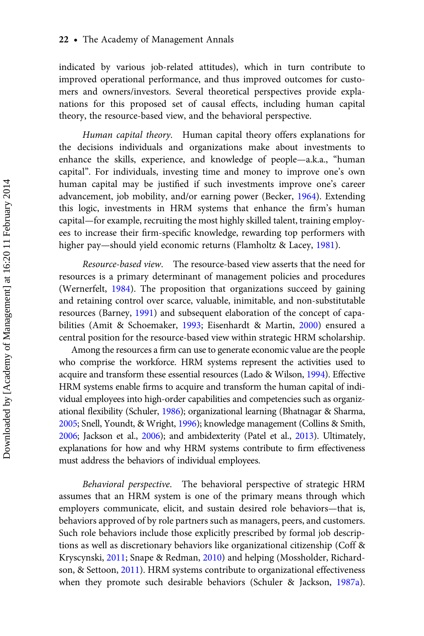indicated by various job-related attitudes), which in turn contribute to improved operational performance, and thus improved outcomes for customers and owners/investors. Several theoretical perspectives provide explanations for this proposed set of causal effects, including human capital theory, the resource-based view, and the behavioral perspective.

Human capital theory. Human capital theory offers explanations for the decisions individuals and organizations make about investments to enhance the skills, experience, and knowledge of people—a.k.a., "human capital". For individuals, investing time and money to improve one's own human capital may be justified if such investments improve one's career advancement, job mobility, and/or earning power (Becker, [1964](#page-44-0)). Extending this logic, investments in HRM systems that enhance the firm's human capital—for example, recruiting the most highly skilled talent, training employees to increase their firm-specific knowledge, rewarding top performers with higher pay—should yield economic returns (Flamholtz & Lacey, [1981](#page-47-0)).

Resource-based view. The resource-based view asserts that the need for resources is a primary determinant of management policies and procedures (Wernerfelt, [1984\)](#page-57-0). The proposition that organizations succeed by gaining and retaining control over scarce, valuable, inimitable, and non-substitutable resources (Barney, [1991\)](#page-43-0) and subsequent elaboration of the concept of capabilities (Amit & Schoemaker, [1993;](#page-43-0) Eisenhardt & Martin, [2000\)](#page-46-0) ensured a central position for the resource-based view within strategic HRM scholarship.

Among the resources a firm can use to generate economic value are the people who comprise the workforce. HRM systems represent the activities used to acquire and transform these essential resources (Lado & Wilson, [1994\)](#page-50-0). Effective HRM systems enable firms to acquire and transform the human capital of individual employees into high-order capabilities and competencies such as organizational flexibility (Schuler, [1986\)](#page-54-0); organizational learning (Bhatnagar & Sharma, [2005;](#page-44-0) Snell, Youndt, & Wright, [1996](#page-55-0)); knowledge management (Collins & Smith, [2006;](#page-45-0) Jackson et al., [2006](#page-49-0)); and ambidexterity (Patel et al., [2013](#page-52-0)). Ultimately, explanations for how and why HRM systems contribute to firm effectiveness must address the behaviors of individual employees.

Behavioral perspective. The behavioral perspective of strategic HRM assumes that an HRM system is one of the primary means through which employers communicate, elicit, and sustain desired role behaviors—that is, behaviors approved of by role partners such as managers, peers, and customers. Such role behaviors include those explicitly prescribed by formal job descriptions as well as discretionary behaviors like organizational citizenship (Coff & Kryscynski, [2011;](#page-45-0) Snape & Redman, [2010\)](#page-55-0) and helping (Mossholder, Richardson, & Settoon, [2011](#page-52-0)). HRM systems contribute to organizational effectiveness when they promote such desirable behaviors (Schuler & Jackson, [1987a](#page-54-0)).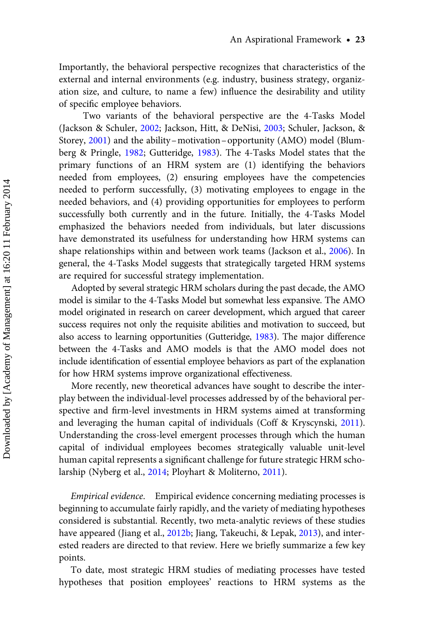Importantly, the behavioral perspective recognizes that characteristics of the external and internal environments (e.g. industry, business strategy, organization size, and culture, to name a few) influence the desirability and utility of specific employee behaviors.

Two variants of the behavioral perspective are the 4-Tasks Model (Jackson & Schuler, [2002](#page-49-0); Jackson, Hitt, & DeNisi, [2003](#page-49-0); Schuler, Jackson, & Storey, [2001](#page-54-0)) and the ability–motivation – opportunity (AMO) model (Blumberg & Pringle, [1982](#page-44-0); Gutteridge, [1983](#page-48-0)). The 4-Tasks Model states that the primary functions of an HRM system are (1) identifying the behaviors needed from employees, (2) ensuring employees have the competencies needed to perform successfully, (3) motivating employees to engage in the needed behaviors, and (4) providing opportunities for employees to perform successfully both currently and in the future. Initially, the 4-Tasks Model emphasized the behaviors needed from individuals, but later discussions have demonstrated its usefulness for understanding how HRM systems can shape relationships within and between work teams (Jackson et al., [2006](#page-49-0)). In general, the 4-Tasks Model suggests that strategically targeted HRM systems are required for successful strategy implementation.

Adopted by several strategic HRM scholars during the past decade, the AMO model is similar to the 4-Tasks Model but somewhat less expansive. The AMO model originated in research on career development, which argued that career success requires not only the requisite abilities and motivation to succeed, but also access to learning opportunities (Gutteridge, [1983\)](#page-48-0). The major difference between the 4-Tasks and AMO models is that the AMO model does not include identification of essential employee behaviors as part of the explanation for how HRM systems improve organizational effectiveness.

More recently, new theoretical advances have sought to describe the interplay between the individual-level processes addressed by of the behavioral perspective and firm-level investments in HRM systems aimed at transforming and leveraging the human capital of individuals (Coff & Kryscynski, [2011](#page-45-0)). Understanding the cross-level emergent processes through which the human capital of individual employees becomes strategically valuable unit-level human capital represents a significant challenge for future strategic HRM scholarship (Nyberg et al., [2014;](#page-52-0) Ployhart & Moliterno, [2011\)](#page-53-0).

Empirical evidence. Empirical evidence concerning mediating processes is beginning to accumulate fairly rapidly, and the variety of mediating hypotheses considered is substantial. Recently, two meta-analytic reviews of these studies have appeared (Jiang et al., [2012b](#page-49-0); Jiang, Takeuchi, & Lepak, [2013\)](#page-50-0), and interested readers are directed to that review. Here we briefly summarize a few key points.

To date, most strategic HRM studies of mediating processes have tested hypotheses that position employees' reactions to HRM systems as the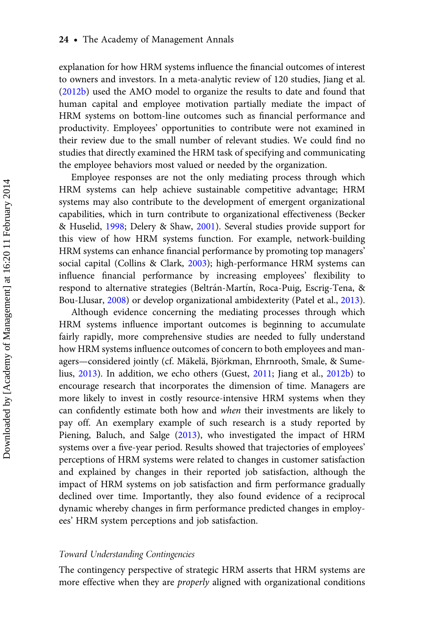explanation for how HRM systems influence the financial outcomes of interest to owners and investors. In a meta-analytic review of 120 studies, Jiang et al. [\(2012b\)](#page-49-0) used the AMO model to organize the results to date and found that human capital and employee motivation partially mediate the impact of HRM systems on bottom-line outcomes such as financial performance and productivity. Employees' opportunities to contribute were not examined in their review due to the small number of relevant studies. We could find no studies that directly examined the HRM task of specifying and communicating the employee behaviors most valued or needed by the organization.

Employee responses are not the only mediating process through which HRM systems can help achieve sustainable competitive advantage; HRM systems may also contribute to the development of emergent organizational capabilities, which in turn contribute to organizational effectiveness (Becker & Huselid, [1998;](#page-44-0) Delery & Shaw, [2001\)](#page-46-0). Several studies provide support for this view of how HRM systems function. For example, network-building HRM systems can enhance financial performance by promoting top managers' social capital (Collins & Clark, [2003\)](#page-45-0); high-performance HRM systems can influence financial performance by increasing employees' flexibility to respond to alternative strategies (Beltrán-Martín, Roca-Puig, Escrig-Tena, & Bou-Llusar, [2008](#page-44-0)) or develop organizational ambidexterity (Patel et al., [2013](#page-52-0)).

Although evidence concerning the mediating processes through which HRM systems influence important outcomes is beginning to accumulate fairly rapidly, more comprehensive studies are needed to fully understand how HRM systems influence outcomes of concern to both employees and managers—considered jointly (cf. Mäkelä, Björkman, Ehrnrooth, Smale, & Sumelius, [2013](#page-51-0)). In addition, we echo others (Guest, [2011](#page-47-0); Jiang et al., [2012b\)](#page-49-0) to encourage research that incorporates the dimension of time. Managers are more likely to invest in costly resource-intensive HRM systems when they can confidently estimate both how and when their investments are likely to pay off. An exemplary example of such research is a study reported by Piening, Baluch, and Salge [\(2013\)](#page-53-0), who investigated the impact of HRM systems over a five-year period. Results showed that trajectories of employees' perceptions of HRM systems were related to changes in customer satisfaction and explained by changes in their reported job satisfaction, although the impact of HRM systems on job satisfaction and firm performance gradually declined over time. Importantly, they also found evidence of a reciprocal dynamic whereby changes in firm performance predicted changes in employees' HRM system perceptions and job satisfaction.

# Toward Understanding Contingencies

The contingency perspective of strategic HRM asserts that HRM systems are more effective when they are properly aligned with organizational conditions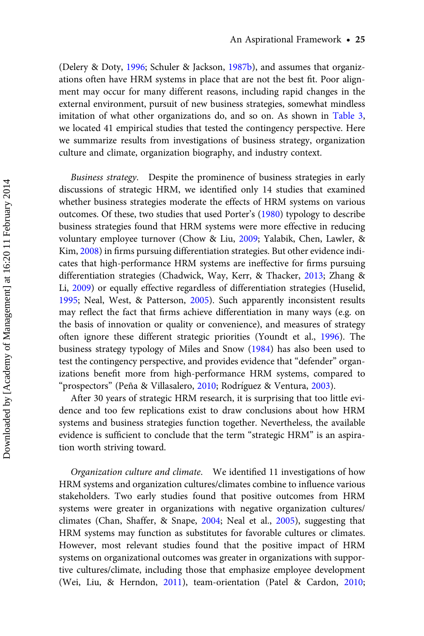(Delery & Doty, [1996;](#page-46-0) Schuler & Jackson, [1987b\)](#page-54-0), and assumes that organizations often have HRM systems in place that are not the best fit. Poor alignment may occur for many different reasons, including rapid changes in the external environment, pursuit of new business strategies, somewhat mindless imitation of what other organizations do, and so on. As shown in [Table 3,](#page-27-0) we located 41 empirical studies that tested the contingency perspective. Here we summarize results from investigations of business strategy, organization culture and climate, organization biography, and industry context.

Business strategy. Despite the prominence of business strategies in early discussions of strategic HRM, we identified only 14 studies that examined whether business strategies moderate the effects of HRM systems on various outcomes. Of these, two studies that used Porter's ([1980](#page-53-0)) typology to describe business strategies found that HRM systems were more effective in reducing voluntary employee turnover (Chow & Liu, [2009;](#page-45-0) Yalabik, Chen, Lawler, & Kim, [2008\)](#page-57-0) in firms pursuing differentiation strategies. But other evidence indicates that high-performance HRM systems are ineffective for firms pursuing differentiation strategies (Chadwick, Way, Kerr, & Thacker, [2013](#page-45-0); Zhang & Li, [2009\)](#page-57-0) or equally effective regardless of differentiation strategies (Huselid, [1995](#page-48-0); Neal, West, & Patterson, [2005\)](#page-52-0). Such apparently inconsistent results may reflect the fact that firms achieve differentiation in many ways (e.g. on the basis of innovation or quality or convenience), and measures of strategy often ignore these different strategic priorities (Youndt et al., [1996\)](#page-57-0). The business strategy typology of Miles and Snow [\(1984](#page-51-0)) has also been used to test the contingency perspective, and provides evidence that "defender" organizations benefit more from high-performance HRM systems, compared to "prospectors" (Peña & Villasalero, [2010](#page-52-0); Rodríguez & Ventura, [2003](#page-53-0)).

After 30 years of strategic HRM research, it is surprising that too little evidence and too few replications exist to draw conclusions about how HRM systems and business strategies function together. Nevertheless, the available evidence is sufficient to conclude that the term "strategic HRM" is an aspiration worth striving toward.

Organization culture and climate. We identified 11 investigations of how HRM systems and organization cultures/climates combine to influence various stakeholders. Two early studies found that positive outcomes from HRM systems were greater in organizations with negative organization cultures/ climates (Chan, Shaffer, & Snape, [2004;](#page-45-0) Neal et al., [2005](#page-52-0)), suggesting that HRM systems may function as substitutes for favorable cultures or climates. However, most relevant studies found that the positive impact of HRM systems on organizational outcomes was greater in organizations with supportive cultures/climate, including those that emphasize employee development (Wei, Liu, & Herndon, [2011\)](#page-57-0), team-orientation (Patel & Cardon, [2010;](#page-52-0)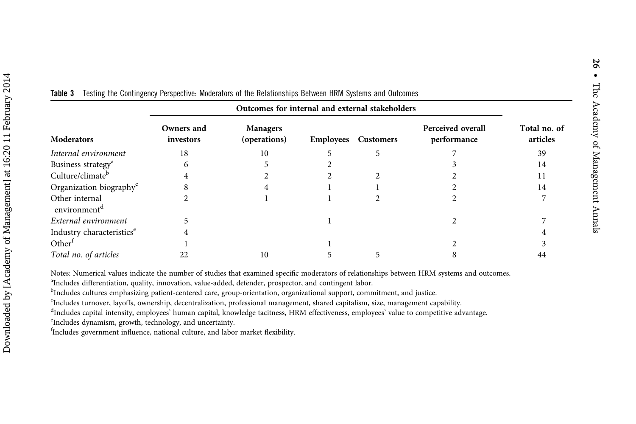| LANIC J                                    | TESTING THE CONTINUENCY LET DECIDE: MODELATOR OF THE VERTIONSHIPS DETMENT LIVING SYSTEMS AND OUTCOMES<br>Outcomes for internal and external stakeholders |                                 |                  |                  |                                  |                          |  |  |
|--------------------------------------------|----------------------------------------------------------------------------------------------------------------------------------------------------------|---------------------------------|------------------|------------------|----------------------------------|--------------------------|--|--|
| <b>Moderators</b>                          | Owners and<br>investors                                                                                                                                  | <b>Managers</b><br>(operations) | <b>Employees</b> | <b>Customers</b> | Perceived overall<br>performance | Total no. of<br>articles |  |  |
| Internal environment                       | 18                                                                                                                                                       | 10                              |                  |                  |                                  | 39                       |  |  |
| Business strategy <sup>a</sup>             |                                                                                                                                                          |                                 |                  |                  |                                  | 14                       |  |  |
| Culture/climate <sup>b</sup>               |                                                                                                                                                          |                                 |                  |                  |                                  |                          |  |  |
| Organization biography <sup>c</sup>        |                                                                                                                                                          |                                 |                  |                  |                                  | 14                       |  |  |
| Other internal<br>environment <sup>a</sup> |                                                                                                                                                          |                                 |                  |                  |                                  |                          |  |  |
| External environment                       |                                                                                                                                                          |                                 |                  |                  |                                  |                          |  |  |
| Industry characteristics <sup>e</sup>      |                                                                                                                                                          |                                 |                  |                  |                                  |                          |  |  |
| Other <sup>r</sup>                         |                                                                                                                                                          |                                 |                  |                  |                                  |                          |  |  |
| Total no. of articles                      | 22                                                                                                                                                       | 10                              |                  |                  |                                  |                          |  |  |

<span id="page-27-0"></span>Table 3Testing the Contingency Perspective: Moderators of the Relationships Between HRM Systems and Outcomes

Notes: Numerical values indicate the number of studies that examined specific moderators of relationships between HRM systems and outcomes.

<sup>a</sup>Includes differentiation, quality, innovation, value-added, defender, prospector, and contingent labor.

<sup>b</sup>Includes cultures emphasizing patient-centered care, group-orientation, organizational support, commitment, and justice.

cIncludes turnover, layoffs, ownership, decentralization, professional management, shared capitalism, size, managemen<sup>t</sup> capability.

<sup>d</sup>Includes capital intensity, employees' human capital, knowledge tacitness, HRM effectiveness, employees' value to competitive advantage.

<sup>e</sup>Includes dynamism, growth, technology, and uncertainty.

<sup>f</sup>Includes government influence, national culture, and labor market flexibility.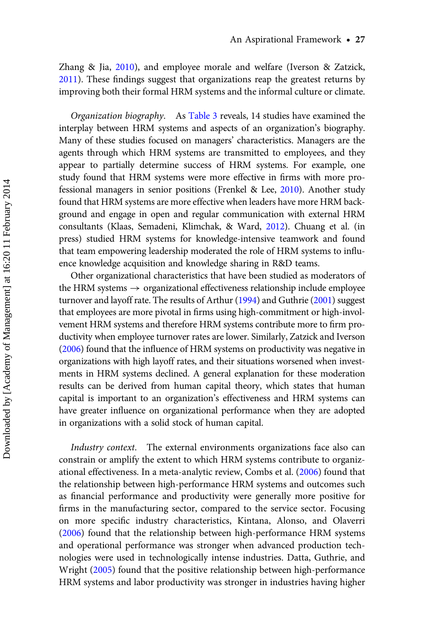Zhang & Jia, [2010\)](#page-57-0), and employee morale and welfare (Iverson & Zatzick, [2011](#page-48-0)). These findings suggest that organizations reap the greatest returns by improving both their formal HRM systems and the informal culture or climate.

Organization biography. As [Table 3](#page-27-0) reveals, 14 studies have examined the interplay between HRM systems and aspects of an organization's biography. Many of these studies focused on managers' characteristics. Managers are the agents through which HRM systems are transmitted to employees, and they appear to partially determine success of HRM systems. For example, one study found that HRM systems were more effective in firms with more professional managers in senior positions (Frenkel & Lee, [2010](#page-47-0)). Another study found that HRM systems are more effective when leaders have more HRM background and engage in open and regular communication with external HRM consultants (Klaas, Semadeni, Klimchak, & Ward, [2012\)](#page-50-0). Chuang et al. (in press) studied HRM systems for knowledge-intensive teamwork and found that team empowering leadership moderated the role of HRM systems to influence knowledge acquisition and knowledge sharing in R&D teams.

Other organizational characteristics that have been studied as moderators of the HRM systems  $\rightarrow$  organizational effectiveness relationship include employee turnover and layoff rate. The results of Arthur ([1994](#page-43-0)) and Guthrie ([2001](#page-48-0)) suggest that employees are more pivotal in firms using high-commitment or high-involvement HRM systems and therefore HRM systems contribute more to firm productivity when employee turnover rates are lower. Similarly, Zatzick and Iverson [\(2006](#page-57-0)) found that the influence of HRM systems on productivity was negative in organizations with high layoff rates, and their situations worsened when investments in HRM systems declined. A general explanation for these moderation results can be derived from human capital theory, which states that human capital is important to an organization's effectiveness and HRM systems can have greater influence on organizational performance when they are adopted in organizations with a solid stock of human capital.

Industry context. The external environments organizations face also can constrain or amplify the extent to which HRM systems contribute to organizational effectiveness. In a meta-analytic review, Combs et al. ([2006](#page-45-0)) found that the relationship between high-performance HRM systems and outcomes such as financial performance and productivity were generally more positive for firms in the manufacturing sector, compared to the service sector. Focusing on more specific industry characteristics, Kintana, Alonso, and Olaverri [\(2006\)](#page-50-0) found that the relationship between high-performance HRM systems and operational performance was stronger when advanced production technologies were used in technologically intense industries. Datta, Guthrie, and Wright ([2005](#page-46-0)) found that the positive relationship between high-performance HRM systems and labor productivity was stronger in industries having higher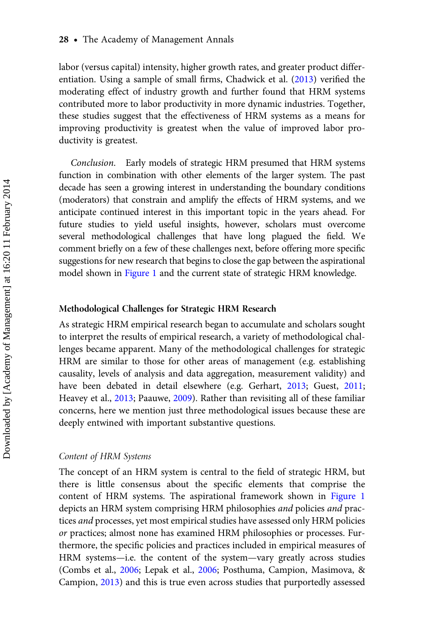labor (versus capital) intensity, higher growth rates, and greater product differentiation. Using a sample of small firms, Chadwick et al. [\(2013](#page-45-0)) verified the moderating effect of industry growth and further found that HRM systems contributed more to labor productivity in more dynamic industries. Together, these studies suggest that the effectiveness of HRM systems as a means for improving productivity is greatest when the value of improved labor productivity is greatest.

Conclusion. Early models of strategic HRM presumed that HRM systems function in combination with other elements of the larger system. The past decade has seen a growing interest in understanding the boundary conditions (moderators) that constrain and amplify the effects of HRM systems, and we anticipate continued interest in this important topic in the years ahead. For future studies to yield useful insights, however, scholars must overcome several methodological challenges that have long plagued the field. We comment briefly on a few of these challenges next, before offering more specific suggestions for new research that begins to close the gap between the aspirational model shown in [Figure 1](#page-4-0) and the current state of strategic HRM knowledge.

# Methodological Challenges for Strategic HRM Research

As strategic HRM empirical research began to accumulate and scholars sought to interpret the results of empirical research, a variety of methodological challenges became apparent. Many of the methodological challenges for strategic HRM are similar to those for other areas of management (e.g. establishing causality, levels of analysis and data aggregation, measurement validity) and have been debated in detail elsewhere (e.g. Gerhart, [2013;](#page-47-0) Guest, [2011;](#page-47-0) Heavey et al., [2013;](#page-48-0) Paauwe, [2009\)](#page-52-0). Rather than revisiting all of these familiar concerns, here we mention just three methodological issues because these are deeply entwined with important substantive questions.

#### Content of HRM Systems

The concept of an HRM system is central to the field of strategic HRM, but there is little consensus about the specific elements that comprise the content of HRM systems. The aspirational framework shown in [Figure 1](#page-4-0) depicts an HRM system comprising HRM philosophies and policies and practices and processes, yet most empirical studies have assessed only HRM policies or practices; almost none has examined HRM philosophies or processes. Furthermore, the specific policies and practices included in empirical measures of HRM systems—i.e. the content of the system—vary greatly across studies (Combs et al., [2006](#page-45-0); Lepak et al., [2006;](#page-51-0) Posthuma, Campion, Masimova, & Campion, [2013\)](#page-53-0) and this is true even across studies that purportedly assessed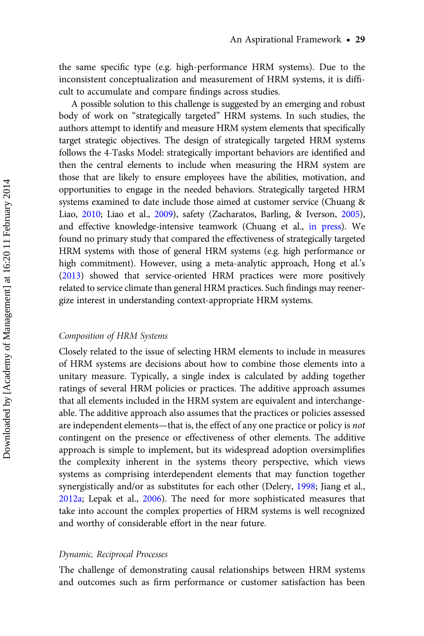the same specific type (e.g. high-performance HRM systems). Due to the inconsistent conceptualization and measurement of HRM systems, it is difficult to accumulate and compare findings across studies.

A possible solution to this challenge is suggested by an emerging and robust body of work on "strategically targeted" HRM systems. In such studies, the authors attempt to identify and measure HRM system elements that specifically target strategic objectives. The design of strategically targeted HRM systems follows the 4-Tasks Model: strategically important behaviors are identified and then the central elements to include when measuring the HRM system are those that are likely to ensure employees have the abilities, motivation, and opportunities to engage in the needed behaviors. Strategically targeted HRM systems examined to date include those aimed at customer service (Chuang & Liao, [2010](#page-45-0); Liao et al., [2009](#page-51-0)), safety (Zacharatos, Barling, & Iverson, [2005](#page-57-0)), and effective knowledge-intensive teamwork (Chuang et al., [in press\)](#page-45-0). We found no primary study that compared the effectiveness of strategically targeted HRM systems with those of general HRM systems (e.g. high performance or high commitment). However, using a meta-analytic approach, Hong et al.'s [\(2013](#page-48-0)) showed that service-oriented HRM practices were more positively related to service climate than general HRM practices. Such findings may reenergize interest in understanding context-appropriate HRM systems.

# Composition of HRM Systems

Closely related to the issue of selecting HRM elements to include in measures of HRM systems are decisions about how to combine those elements into a unitary measure. Typically, a single index is calculated by adding together ratings of several HRM policies or practices. The additive approach assumes that all elements included in the HRM system are equivalent and interchangeable. The additive approach also assumes that the practices or policies assessed are independent elements—that is, the effect of any one practice or policy is not contingent on the presence or effectiveness of other elements. The additive approach is simple to implement, but its widespread adoption oversimplifies the complexity inherent in the systems theory perspective, which views systems as comprising interdependent elements that may function together synergistically and/or as substitutes for each other (Delery, [1998](#page-46-0); Jiang et al., [2012a;](#page-49-0) Lepak et al., [2006](#page-51-0)). The need for more sophisticated measures that take into account the complex properties of HRM systems is well recognized and worthy of considerable effort in the near future.

# Dynamic, Reciprocal Processes

The challenge of demonstrating causal relationships between HRM systems and outcomes such as firm performance or customer satisfaction has been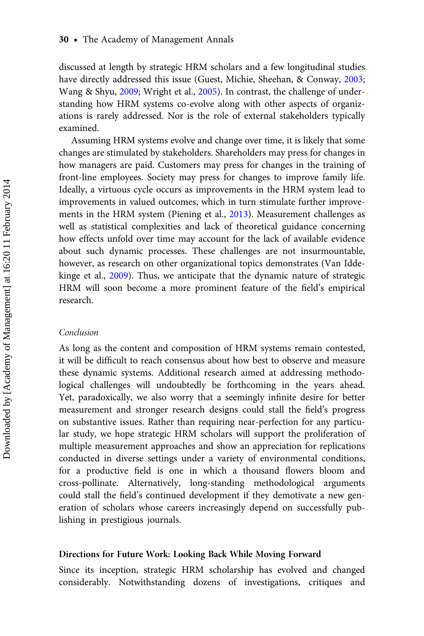discussed at length by strategic HRM scholars and a few longitudinal studies have directly addressed this issue (Guest, Michie, Sheehan, & Conway, [2003;](#page-47-0) Wang & Shyu, [2009;](#page-56-0) Wright et al., [2005](#page-57-0)). In contrast, the challenge of understanding how HRM systems co-evolve along with other aspects of organizations is rarely addressed. Nor is the role of external stakeholders typically examined.

Assuming HRM systems evolve and change over time, it is likely that some changes are stimulated by stakeholders. Shareholders may press for changes in how managers are paid. Customers may press for changes in the training of front-line employees. Society may press for changes to improve family life. Ideally, a virtuous cycle occurs as improvements in the HRM system lead to improvements in valued outcomes, which in turn stimulate further improvements in the HRM system (Piening et al., [2013\)](#page-53-0). Measurement challenges as well as statistical complexities and lack of theoretical guidance concerning how effects unfold over time may account for the lack of available evidence about such dynamic processes. These challenges are not insurmountable, however, as research on other organizational topics demonstrates (Van Iddekinge et al., [2009\)](#page-56-0). Thus, we anticipate that the dynamic nature of strategic HRM will soon become a more prominent feature of the field's empirical research.

#### Conclusion

As long as the content and composition of HRM systems remain contested, it will be difficult to reach consensus about how best to observe and measure these dynamic systems. Additional research aimed at addressing methodological challenges will undoubtedly be forthcoming in the years ahead. Yet, paradoxically, we also worry that a seemingly infinite desire for better measurement and stronger research designs could stall the field's progress on substantive issues. Rather than requiring near-perfection for any particular study, we hope strategic HRM scholars will support the proliferation of multiple measurement approaches and show an appreciation for replications conducted in diverse settings under a variety of environmental conditions, for a productive field is one in which a thousand flowers bloom and cross-pollinate. Alternatively, long-standing methodological arguments could stall the field's continued development if they demotivate a new generation of scholars whose careers increasingly depend on successfully publishing in prestigious journals.

# Directions for Future Work: Looking Back While Moving Forward

Since its inception, strategic HRM scholarship has evolved and changed considerably. Notwithstanding dozens of investigations, critiques and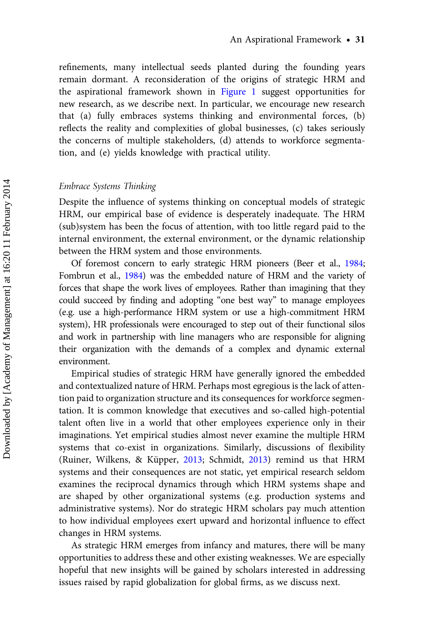refinements, many intellectual seeds planted during the founding years remain dormant. A reconsideration of the origins of strategic HRM and the aspirational framework shown in [Figure 1](#page-4-0) suggest opportunities for new research, as we describe next. In particular, we encourage new research that (a) fully embraces systems thinking and environmental forces, (b) reflects the reality and complexities of global businesses, (c) takes seriously the concerns of multiple stakeholders, (d) attends to workforce segmentation, and (e) yields knowledge with practical utility.

### Embrace Systems Thinking

Despite the influence of systems thinking on conceptual models of strategic HRM, our empirical base of evidence is desperately inadequate. The HRM (sub)system has been the focus of attention, with too little regard paid to the internal environment, the external environment, or the dynamic relationship between the HRM system and those environments.

Of foremost concern to early strategic HRM pioneers (Beer et al., [1984;](#page-44-0) Fombrun et al., [1984](#page-47-0)) was the embedded nature of HRM and the variety of forces that shape the work lives of employees. Rather than imagining that they could succeed by finding and adopting "one best way" to manage employees (e.g. use a high-performance HRM system or use a high-commitment HRM system), HR professionals were encouraged to step out of their functional silos and work in partnership with line managers who are responsible for aligning their organization with the demands of a complex and dynamic external environment.

Empirical studies of strategic HRM have generally ignored the embedded and contextualized nature of HRM. Perhaps most egregious is the lack of attention paid to organization structure and its consequences for workforce segmentation. It is common knowledge that executives and so-called high-potential talent often live in a world that other employees experience only in their imaginations. Yet empirical studies almost never examine the multiple HRM systems that co-exist in organizations. Similarly, discussions of flexibility (Ruiner, Wilkens, & Küpper, [2013](#page-53-0); Schmidt, [2013\)](#page-54-0) remind us that HRM systems and their consequences are not static, yet empirical research seldom examines the reciprocal dynamics through which HRM systems shape and are shaped by other organizational systems (e.g. production systems and administrative systems). Nor do strategic HRM scholars pay much attention to how individual employees exert upward and horizontal influence to effect changes in HRM systems.

As strategic HRM emerges from infancy and matures, there will be many opportunities to address these and other existing weaknesses. We are especially hopeful that new insights will be gained by scholars interested in addressing issues raised by rapid globalization for global firms, as we discuss next.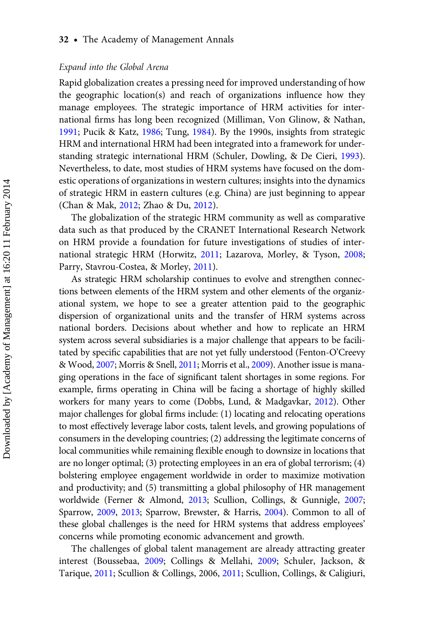# 32 • The Academy of Management Annals

# Expand into the Global Arena

Rapid globalization creates a pressing need for improved understanding of how the geographic location(s) and reach of organizations influence how they manage employees. The strategic importance of HRM activities for international firms has long been recognized (Milliman, Von Glinow, & Nathan, [1991](#page-51-0); Pucik & Katz, [1986;](#page-53-0) Tung, [1984](#page-56-0)). By the 1990s, insights from strategic HRM and international HRM had been integrated into a framework for understanding strategic international HRM (Schuler, Dowling, & De Cieri, [1993](#page-54-0)). Nevertheless, to date, most studies of HRM systems have focused on the domestic operations of organizations in western cultures; insights into the dynamics of strategic HRM in eastern cultures (e.g. China) are just beginning to appear (Chan & Mak, [2012;](#page-45-0) Zhao & Du, [2012\)](#page-57-0).

The globalization of the strategic HRM community as well as comparative data such as that produced by the CRANET International Research Network on HRM provide a foundation for future investigations of studies of international strategic HRM (Horwitz, [2011;](#page-48-0) Lazarova, Morley, & Tyson, [2008;](#page-50-0) Parry, Stavrou-Costea, & Morley, [2011](#page-52-0)).

As strategic HRM scholarship continues to evolve and strengthen connections between elements of the HRM system and other elements of the organizational system, we hope to see a greater attention paid to the geographic dispersion of organizational units and the transfer of HRM systems across national borders. Decisions about whether and how to replicate an HRM system across several subsidiaries is a major challenge that appears to be facilitated by specific capabilities that are not yet fully understood (Fenton-O'Creevy & Wood, [2007;](#page-46-0) Morris & Snell, [2011;](#page-52-0) Morris et al., [2009\)](#page-52-0). Another issue is managing operations in the face of significant talent shortages in some regions. For example, firms operating in China will be facing a shortage of highly skilled workers for many years to come (Dobbs, Lund, & Madgavkar, [2012](#page-46-0)). Other major challenges for global firms include: (1) locating and relocating operations to most effectively leverage labor costs, talent levels, and growing populations of consumers in the developing countries; (2) addressing the legitimate concerns of local communities while remaining flexible enough to downsize in locations that are no longer optimal; (3) protecting employees in an era of global terrorism; (4) bolstering employee engagement worldwide in order to maximize motivation and productivity; and (5) transmitting a global philosophy of HR management worldwide (Ferner & Almond, [2013;](#page-47-0) Scullion, Collings, & Gunnigle, [2007;](#page-55-0) Sparrow, [2009,](#page-55-0) [2013](#page-55-0); Sparrow, Brewster, & Harris, [2004](#page-55-0)). Common to all of these global challenges is the need for HRM systems that address employees' concerns while promoting economic advancement and growth.

The challenges of global talent management are already attracting greater interest (Boussebaa, [2009;](#page-44-0) Collings & Mellahi, [2009;](#page-45-0) Schuler, Jackson, & Tarique, [2011](#page-54-0); Scullion & Collings, 2006, [2011;](#page-55-0) Scullion, Collings, & Caligiuri,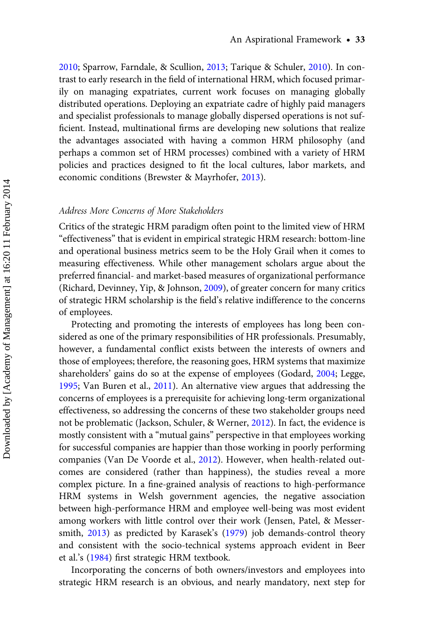[2010](#page-55-0); Sparrow, Farndale, & Scullion, [2013;](#page-55-0) Tarique & Schuler, [2010](#page-55-0)). In contrast to early research in the field of international HRM, which focused primarily on managing expatriates, current work focuses on managing globally distributed operations. Deploying an expatriate cadre of highly paid managers and specialist professionals to manage globally dispersed operations is not sufficient. Instead, multinational firms are developing new solutions that realize the advantages associated with having a common HRM philosophy (and perhaps a common set of HRM processes) combined with a variety of HRM policies and practices designed to fit the local cultures, labor markets, and economic conditions (Brewster & Mayrhofer, [2013](#page-44-0)).

# Address More Concerns of More Stakeholders

Critics of the strategic HRM paradigm often point to the limited view of HRM "effectiveness" that is evident in empirical strategic HRM research: bottom-line and operational business metrics seem to be the Holy Grail when it comes to measuring effectiveness. While other management scholars argue about the preferred financial- and market-based measures of organizational performance (Richard, Devinney, Yip, & Johnson, [2009\)](#page-53-0), of greater concern for many critics of strategic HRM scholarship is the field's relative indifference to the concerns of employees.

Protecting and promoting the interests of employees has long been considered as one of the primary responsibilities of HR professionals. Presumably, however, a fundamental conflict exists between the interests of owners and those of employees; therefore, the reasoning goes, HRM systems that maximize shareholders' gains do so at the expense of employees (Godard, [2004;](#page-47-0) Legge, [1995](#page-50-0); Van Buren et al., [2011\)](#page-56-0). An alternative view argues that addressing the concerns of employees is a prerequisite for achieving long-term organizational effectiveness, so addressing the concerns of these two stakeholder groups need not be problematic (Jackson, Schuler, & Werner, [2012](#page-49-0)). In fact, the evidence is mostly consistent with a "mutual gains" perspective in that employees working for successful companies are happier than those working in poorly performing companies (Van De Voorde et al., [2012](#page-56-0)). However, when health-related outcomes are considered (rather than happiness), the studies reveal a more complex picture. In a fine-grained analysis of reactions to high-performance HRM systems in Welsh government agencies, the negative association between high-performance HRM and employee well-being was most evident among workers with little control over their work (Jensen, Patel, & Messersmith, [2013](#page-49-0)) as predicted by Karasek's ([1979\)](#page-50-0) job demands-control theory and consistent with the socio-technical systems approach evident in Beer et al.'s ([1984\)](#page-44-0) first strategic HRM textbook.

Incorporating the concerns of both owners/investors and employees into strategic HRM research is an obvious, and nearly mandatory, next step for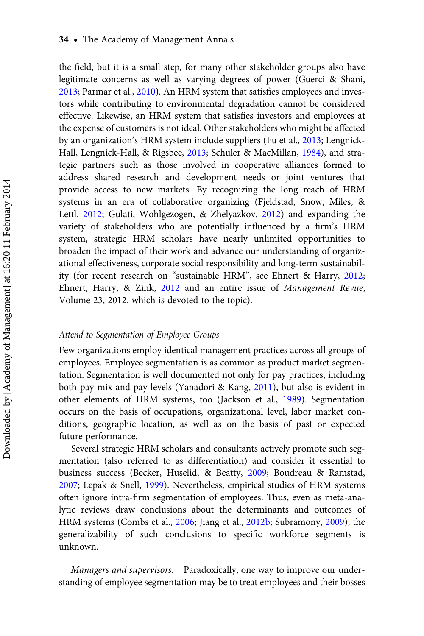# 34 • The Academy of Management Annals

the field, but it is a small step, for many other stakeholder groups also have legitimate concerns as well as varying degrees of power (Guerci & Shani, [2013](#page-47-0); Parmar et al., [2010](#page-52-0)). An HRM system that satisfies employees and investors while contributing to environmental degradation cannot be considered effective. Likewise, an HRM system that satisfies investors and employees at the expense of customers is not ideal. Other stakeholders who might be affected by an organization's HRM system include suppliers (Fu et al., [2013](#page-47-0); Lengnick-Hall, Lengnick-Hall, & Rigsbee, [2013;](#page-51-0) Schuler & MacMillan, [1984\)](#page-54-0), and strategic partners such as those involved in cooperative alliances formed to address shared research and development needs or joint ventures that provide access to new markets. By recognizing the long reach of HRM systems in an era of collaborative organizing (Fjeldstad, Snow, Miles, & Lettl, [2012;](#page-47-0) Gulati, Wohlgezogen, & Zhelyazkov, [2012](#page-47-0)) and expanding the variety of stakeholders who are potentially influenced by a firm's HRM system, strategic HRM scholars have nearly unlimited opportunities to broaden the impact of their work and advance our understanding of organizational effectiveness, corporate social responsibility and long-term sustainability (for recent research on "sustainable HRM", see Ehnert & Harry, [2012;](#page-46-0) Ehnert, Harry, & Zink, [2012](#page-46-0) and an entire issue of Management Revue, Volume 23, 2012, which is devoted to the topic).

# Attend to Segmentation of Employee Groups

Few organizations employ identical management practices across all groups of employees. Employee segmentation is as common as product market segmentation. Segmentation is well documented not only for pay practices, including both pay mix and pay levels (Yanadori & Kang, [2011\)](#page-57-0), but also is evident in other elements of HRM systems, too (Jackson et al., [1989](#page-49-0)). Segmentation occurs on the basis of occupations, organizational level, labor market conditions, geographic location, as well as on the basis of past or expected future performance.

Several strategic HRM scholars and consultants actively promote such segmentation (also referred to as differentiation) and consider it essential to business success (Becker, Huselid, & Beatty, [2009;](#page-44-0) Boudreau & Ramstad, [2007](#page-44-0); Lepak & Snell, [1999\)](#page-51-0). Nevertheless, empirical studies of HRM systems often ignore intra-firm segmentation of employees. Thus, even as meta-analytic reviews draw conclusions about the determinants and outcomes of HRM systems (Combs et al., [2006](#page-45-0); Jiang et al., [2012b](#page-49-0); Subramony, [2009\)](#page-55-0), the generalizability of such conclusions to specific workforce segments is unknown.

Managers and supervisors. Paradoxically, one way to improve our understanding of employee segmentation may be to treat employees and their bosses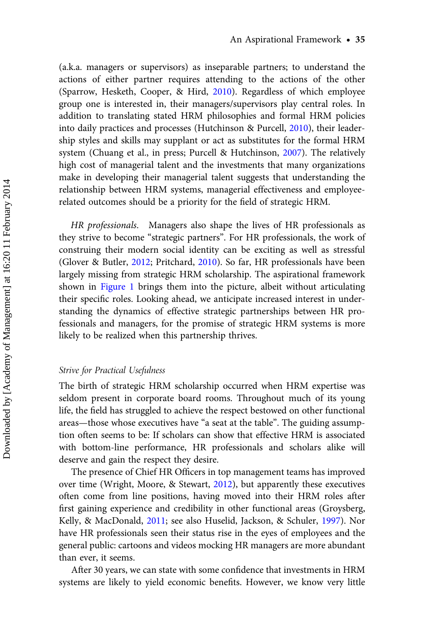(a.k.a. managers or supervisors) as inseparable partners; to understand the actions of either partner requires attending to the actions of the other (Sparrow, Hesketh, Cooper, & Hird, [2010](#page-55-0)). Regardless of which employee group one is interested in, their managers/supervisors play central roles. In addition to translating stated HRM philosophies and formal HRM policies into daily practices and processes (Hutchinson & Purcell, [2010\)](#page-48-0), their leadership styles and skills may supplant or act as substitutes for the formal HRM system (Chuang et al., in press; Purcell & Hutchinson, [2007](#page-53-0)). The relatively high cost of managerial talent and the investments that many organizations make in developing their managerial talent suggests that understanding the relationship between HRM systems, managerial effectiveness and employeerelated outcomes should be a priority for the field of strategic HRM.

HR professionals. Managers also shape the lives of HR professionals as they strive to become "strategic partners". For HR professionals, the work of construing their modern social identity can be exciting as well as stressful (Glover & Butler, [2012](#page-47-0); Pritchard, [2010\)](#page-53-0). So far, HR professionals have been largely missing from strategic HRM scholarship. The aspirational framework shown in [Figure 1](#page-4-0) brings them into the picture, albeit without articulating their specific roles. Looking ahead, we anticipate increased interest in understanding the dynamics of effective strategic partnerships between HR professionals and managers, for the promise of strategic HRM systems is more likely to be realized when this partnership thrives.

# Strive for Practical Usefulness

The birth of strategic HRM scholarship occurred when HRM expertise was seldom present in corporate board rooms. Throughout much of its young life, the field has struggled to achieve the respect bestowed on other functional areas—those whose executives have "a seat at the table". The guiding assumption often seems to be: If scholars can show that effective HRM is associated with bottom-line performance, HR professionals and scholars alike will deserve and gain the respect they desire.

The presence of Chief HR Officers in top management teams has improved over time (Wright, Moore, & Stewart, [2012\)](#page-57-0), but apparently these executives often come from line positions, having moved into their HRM roles after first gaining experience and credibility in other functional areas (Groysberg, Kelly, & MacDonald, [2011;](#page-47-0) see also Huselid, Jackson, & Schuler, [1997\)](#page-48-0). Nor have HR professionals seen their status rise in the eyes of employees and the general public: cartoons and videos mocking HR managers are more abundant than ever, it seems.

After 30 years, we can state with some confidence that investments in HRM systems are likely to yield economic benefits. However, we know very little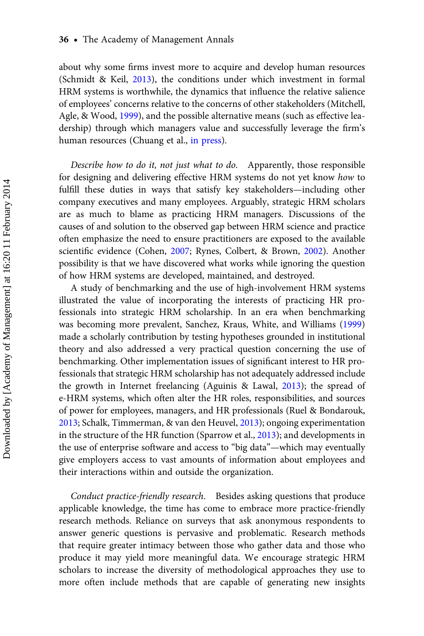about why some firms invest more to acquire and develop human resources (Schmidt & Keil, [2013](#page-54-0)), the conditions under which investment in formal HRM systems is worthwhile, the dynamics that influence the relative salience of employees' concerns relative to the concerns of other stakeholders (Mitchell, Agle, & Wood, [1999\)](#page-51-0), and the possible alternative means (such as effective leadership) through which managers value and successfully leverage the firm's human resources (Chuang et al., [in press\)](#page-45-0).

Describe how to do it, not just what to do. Apparently, those responsible for designing and delivering effective HRM systems do not yet know how to fulfill these duties in ways that satisfy key stakeholders—including other company executives and many employees. Arguably, strategic HRM scholars are as much to blame as practicing HRM managers. Discussions of the causes of and solution to the observed gap between HRM science and practice often emphasize the need to ensure practitioners are exposed to the available scientific evidence (Cohen, [2007](#page-45-0); Rynes, Colbert, & Brown, [2002\)](#page-54-0). Another possibility is that we have discovered what works while ignoring the question of how HRM systems are developed, maintained, and destroyed.

A study of benchmarking and the use of high-involvement HRM systems illustrated the value of incorporating the interests of practicing HR professionals into strategic HRM scholarship. In an era when benchmarking was becoming more prevalent, Sanchez, Kraus, White, and Williams [\(1999\)](#page-54-0) made a scholarly contribution by testing hypotheses grounded in institutional theory and also addressed a very practical question concerning the use of benchmarking. Other implementation issues of significant interest to HR professionals that strategic HRM scholarship has not adequately addressed include the growth in Internet freelancing (Aguinis & Lawal, [2013](#page-43-0)); the spread of e-HRM systems, which often alter the HR roles, responsibilities, and sources of power for employees, managers, and HR professionals (Ruel & Bondarouk, [2013](#page-53-0); Schalk, Timmerman, & van den Heuvel, [2013\)](#page-54-0); ongoing experimentation in the structure of the HR function (Sparrow et al., [2013](#page-55-0)); and developments in the use of enterprise software and access to "big data"—which may eventually give employers access to vast amounts of information about employees and their interactions within and outside the organization.

Conduct practice-friendly research. Besides asking questions that produce applicable knowledge, the time has come to embrace more practice-friendly research methods. Reliance on surveys that ask anonymous respondents to answer generic questions is pervasive and problematic. Research methods that require greater intimacy between those who gather data and those who produce it may yield more meaningful data. We encourage strategic HRM scholars to increase the diversity of methodological approaches they use to more often include methods that are capable of generating new insights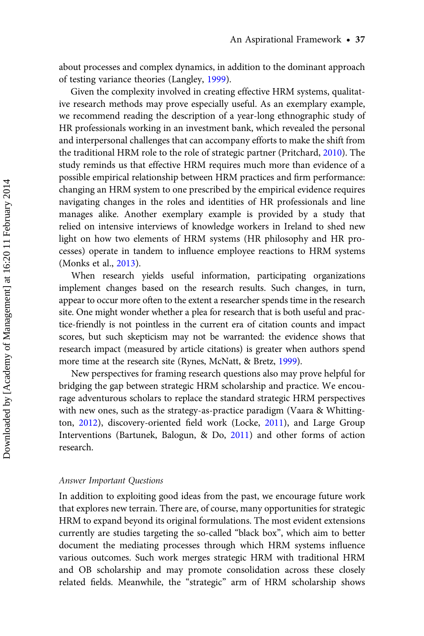about processes and complex dynamics, in addition to the dominant approach of testing variance theories (Langley, [1999](#page-50-0)).

Given the complexity involved in creating effective HRM systems, qualitative research methods may prove especially useful. As an exemplary example, we recommend reading the description of a year-long ethnographic study of HR professionals working in an investment bank, which revealed the personal and interpersonal challenges that can accompany efforts to make the shift from the traditional HRM role to the role of strategic partner (Pritchard, [2010](#page-53-0)). The study reminds us that effective HRM requires much more than evidence of a possible empirical relationship between HRM practices and firm performance: changing an HRM system to one prescribed by the empirical evidence requires navigating changes in the roles and identities of HR professionals and line manages alike. Another exemplary example is provided by a study that relied on intensive interviews of knowledge workers in Ireland to shed new light on how two elements of HRM systems (HR philosophy and HR processes) operate in tandem to influence employee reactions to HRM systems (Monks et al., [2013\)](#page-52-0).

When research yields useful information, participating organizations implement changes based on the research results. Such changes, in turn, appear to occur more often to the extent a researcher spends time in the research site. One might wonder whether a plea for research that is both useful and practice-friendly is not pointless in the current era of citation counts and impact scores, but such skepticism may not be warranted: the evidence shows that research impact (measured by article citations) is greater when authors spend more time at the research site (Rynes, McNatt, & Bretz, [1999](#page-54-0)).

New perspectives for framing research questions also may prove helpful for bridging the gap between strategic HRM scholarship and practice. We encourage adventurous scholars to replace the standard strategic HRM perspectives with new ones, such as the strategy-as-practice paradigm (Vaara & Whittington, [2012](#page-56-0)), discovery-oriented field work (Locke, [2011\)](#page-51-0), and Large Group Interventions (Bartunek, Balogun, & Do, [2011](#page-43-0)) and other forms of action research.

# Answer Important Questions

In addition to exploiting good ideas from the past, we encourage future work that explores new terrain. There are, of course, many opportunities for strategic HRM to expand beyond its original formulations. The most evident extensions currently are studies targeting the so-called "black box", which aim to better document the mediating processes through which HRM systems influence various outcomes. Such work merges strategic HRM with traditional HRM and OB scholarship and may promote consolidation across these closely related fields. Meanwhile, the "strategic" arm of HRM scholarship shows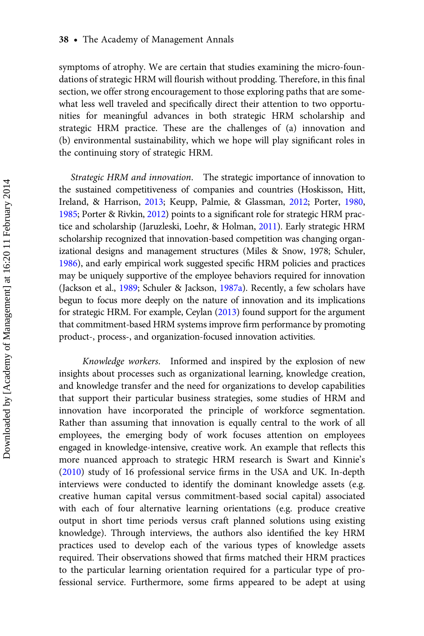symptoms of atrophy. We are certain that studies examining the micro-foundations of strategic HRM will flourish without prodding. Therefore, in this final section, we offer strong encouragement to those exploring paths that are somewhat less well traveled and specifically direct their attention to two opportunities for meaningful advances in both strategic HRM scholarship and strategic HRM practice. These are the challenges of (a) innovation and (b) environmental sustainability, which we hope will play significant roles in the continuing story of strategic HRM.

Strategic HRM and innovation. The strategic importance of innovation to the sustained competitiveness of companies and countries (Hoskisson, Hitt, Ireland, & Harrison, [2013](#page-48-0); Keupp, Palmie, & Glassman, [2012;](#page-50-0) Porter, [1980,](#page-53-0) [1985;](#page-53-0) Porter & Rivkin, [2012\)](#page-53-0) points to a significant role for strategic HRM practice and scholarship (Jaruzleski, Loehr, & Holman, [2011](#page-49-0)). Early strategic HRM scholarship recognized that innovation-based competition was changing organizational designs and management structures (Miles & Snow, 1978; Schuler, [1986\)](#page-54-0), and early empirical work suggested specific HRM policies and practices may be uniquely supportive of the employee behaviors required for innovation (Jackson et al., [1989](#page-49-0); Schuler & Jackson, [1987a\)](#page-54-0). Recently, a few scholars have begun to focus more deeply on the nature of innovation and its implications for strategic HRM. For example, Ceylan [\(2013\)](#page-45-0) found support for the argument that commitment-based HRM systems improve firm performance by promoting product-, process-, and organization-focused innovation activities.

Knowledge workers. Informed and inspired by the explosion of new insights about processes such as organizational learning, knowledge creation, and knowledge transfer and the need for organizations to develop capabilities that support their particular business strategies, some studies of HRM and innovation have incorporated the principle of workforce segmentation. Rather than assuming that innovation is equally central to the work of all employees, the emerging body of work focuses attention on employees engaged in knowledge-intensive, creative work. An example that reflects this more nuanced approach to strategic HRM research is Swart and Kinnie's [\(2010\)](#page-55-0) study of 16 professional service firms in the USA and UK. In-depth interviews were conducted to identify the dominant knowledge assets (e.g. creative human capital versus commitment-based social capital) associated with each of four alternative learning orientations (e.g. produce creative output in short time periods versus craft planned solutions using existing knowledge). Through interviews, the authors also identified the key HRM practices used to develop each of the various types of knowledge assets required. Their observations showed that firms matched their HRM practices to the particular learning orientation required for a particular type of professional service. Furthermore, some firms appeared to be adept at using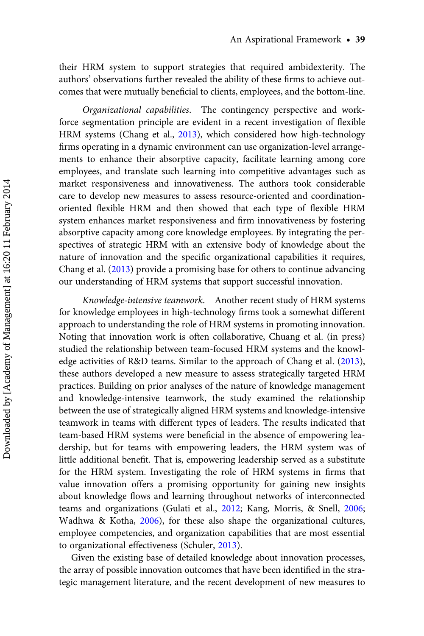their HRM system to support strategies that required ambidexterity. The authors' observations further revealed the ability of these firms to achieve outcomes that were mutually beneficial to clients, employees, and the bottom-line.

Organizational capabilities. The contingency perspective and workforce segmentation principle are evident in a recent investigation of flexible HRM systems (Chang et al., [2013\)](#page-45-0), which considered how high-technology firms operating in a dynamic environment can use organization-level arrangements to enhance their absorptive capacity, facilitate learning among core employees, and translate such learning into competitive advantages such as market responsiveness and innovativeness. The authors took considerable care to develop new measures to assess resource-oriented and coordinationoriented flexible HRM and then showed that each type of flexible HRM system enhances market responsiveness and firm innovativeness by fostering absorptive capacity among core knowledge employees. By integrating the perspectives of strategic HRM with an extensive body of knowledge about the nature of innovation and the specific organizational capabilities it requires, Chang et al. ([2013\)](#page-45-0) provide a promising base for others to continue advancing our understanding of HRM systems that support successful innovation.

Knowledge-intensive teamwork. Another recent study of HRM systems for knowledge employees in high-technology firms took a somewhat different approach to understanding the role of HRM systems in promoting innovation. Noting that innovation work is often collaborative, Chuang et al. (in press) studied the relationship between team-focused HRM systems and the knowledge activities of R&D teams. Similar to the approach of Chang et al. [\(2013](#page-45-0)), these authors developed a new measure to assess strategically targeted HRM practices. Building on prior analyses of the nature of knowledge management and knowledge-intensive teamwork, the study examined the relationship between the use of strategically aligned HRM systems and knowledge-intensive teamwork in teams with different types of leaders. The results indicated that team-based HRM systems were beneficial in the absence of empowering leadership, but for teams with empowering leaders, the HRM system was of little additional benefit. That is, empowering leadership served as a substitute for the HRM system. Investigating the role of HRM systems in firms that value innovation offers a promising opportunity for gaining new insights about knowledge flows and learning throughout networks of interconnected teams and organizations (Gulati et al., [2012;](#page-47-0) Kang, Morris, & Snell, [2006;](#page-50-0) Wadhwa & Kotha, [2006\)](#page-56-0), for these also shape the organizational cultures, employee competencies, and organization capabilities that are most essential to organizational effectiveness (Schuler, [2013](#page-54-0)).

Given the existing base of detailed knowledge about innovation processes, the array of possible innovation outcomes that have been identified in the strategic management literature, and the recent development of new measures to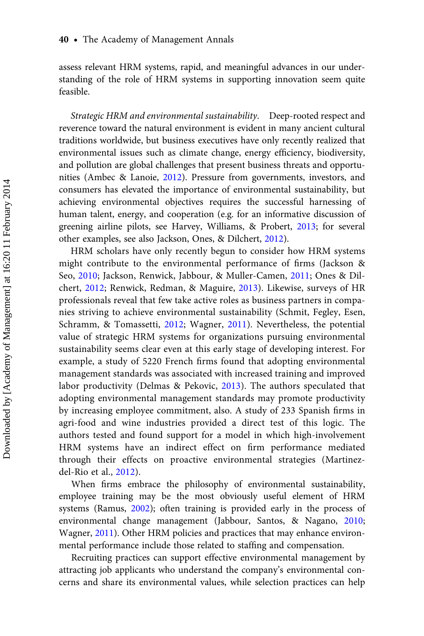assess relevant HRM systems, rapid, and meaningful advances in our understanding of the role of HRM systems in supporting innovation seem quite feasible.

Strategic HRM and environmental sustainability. Deep-rooted respect and reverence toward the natural environment is evident in many ancient cultural traditions worldwide, but business executives have only recently realized that environmental issues such as climate change, energy efficiency, biodiversity, and pollution are global challenges that present business threats and opportunities (Ambec & Lanoie, [2012](#page-43-0)). Pressure from governments, investors, and consumers has elevated the importance of environmental sustainability, but achieving environmental objectives requires the successful harnessing of human talent, energy, and cooperation (e.g. for an informative discussion of greening airline pilots, see Harvey, Williams, & Probert, [2013;](#page-48-0) for several other examples, see also Jackson, Ones, & Dilchert, [2012\)](#page-49-0).

HRM scholars have only recently begun to consider how HRM systems might contribute to the environmental performance of firms (Jackson & Seo, [2010](#page-49-0); Jackson, Renwick, Jabbour, & Muller-Camen, [2011;](#page-49-0) Ones & Dilchert, [2012](#page-43-0); Renwick, Redman, & Maguire, [2013\)](#page-53-0). Likewise, surveys of HR professionals reveal that few take active roles as business partners in companies striving to achieve environmental sustainability (Schmit, Fegley, Esen, Schramm, & Tomassetti, [2012](#page-54-0); Wagner, [2011\)](#page-56-0). Nevertheless, the potential value of strategic HRM systems for organizations pursuing environmental sustainability seems clear even at this early stage of developing interest. For example, a study of 5220 French firms found that adopting environmental management standards was associated with increased training and improved labor productivity (Delmas & Pekovic, [2013](#page-46-0)). The authors speculated that adopting environmental management standards may promote productivity by increasing employee commitment, also. A study of 233 Spanish firms in agri-food and wine industries provided a direct test of this logic. The authors tested and found support for a model in which high-involvement HRM systems have an indirect effect on firm performance mediated through their effects on proactive environmental strategies (Martinezdel-Rio et al., [2012\)](#page-51-0).

When firms embrace the philosophy of environmental sustainability, employee training may be the most obviously useful element of HRM systems (Ramus, [2002\)](#page-53-0); often training is provided early in the process of environmental change management (Jabbour, Santos, & Nagano, [2010;](#page-48-0) Wagner, [2011\)](#page-56-0). Other HRM policies and practices that may enhance environmental performance include those related to staffing and compensation.

Recruiting practices can support effective environmental management by attracting job applicants who understand the company's environmental concerns and share its environmental values, while selection practices can help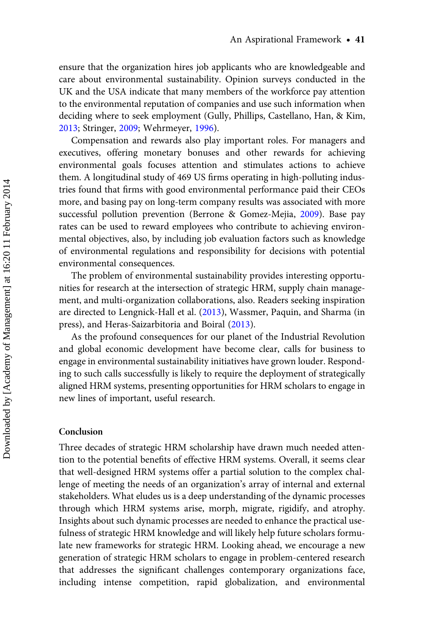ensure that the organization hires job applicants who are knowledgeable and care about environmental sustainability. Opinion surveys conducted in the UK and the USA indicate that many members of the workforce pay attention to the environmental reputation of companies and use such information when deciding where to seek employment (Gully, Phillips, Castellano, Han, & Kim, [2013](#page-48-0); Stringer, [2009;](#page-55-0) Wehrmeyer, [1996\)](#page-56-0).

Compensation and rewards also play important roles. For managers and executives, offering monetary bonuses and other rewards for achieving environmental goals focuses attention and stimulates actions to achieve them. A longitudinal study of 469 US firms operating in high-polluting industries found that firms with good environmental performance paid their CEOs more, and basing pay on long-term company results was associated with more successful pollution prevention (Berrone & Gomez-Mejia, [2009\)](#page-44-0). Base pay rates can be used to reward employees who contribute to achieving environmental objectives, also, by including job evaluation factors such as knowledge of environmental regulations and responsibility for decisions with potential environmental consequences.

The problem of environmental sustainability provides interesting opportunities for research at the intersection of strategic HRM, supply chain management, and multi-organization collaborations, also. Readers seeking inspiration are directed to Lengnick-Hall et al. [\(2013](#page-51-0)), Wassmer, Paquin, and Sharma (in press), and Heras-Saizarbitoria and Boiral ([2013\)](#page-48-0).

As the profound consequences for our planet of the Industrial Revolution and global economic development have become clear, calls for business to engage in environmental sustainability initiatives have grown louder. Responding to such calls successfully is likely to require the deployment of strategically aligned HRM systems, presenting opportunities for HRM scholars to engage in new lines of important, useful research.

#### Conclusion

Three decades of strategic HRM scholarship have drawn much needed attention to the potential benefits of effective HRM systems. Overall, it seems clear that well-designed HRM systems offer a partial solution to the complex challenge of meeting the needs of an organization's array of internal and external stakeholders. What eludes us is a deep understanding of the dynamic processes through which HRM systems arise, morph, migrate, rigidify, and atrophy. Insights about such dynamic processes are needed to enhance the practical usefulness of strategic HRM knowledge and will likely help future scholars formulate new frameworks for strategic HRM. Looking ahead, we encourage a new generation of strategic HRM scholars to engage in problem-centered research that addresses the significant challenges contemporary organizations face, including intense competition, rapid globalization, and environmental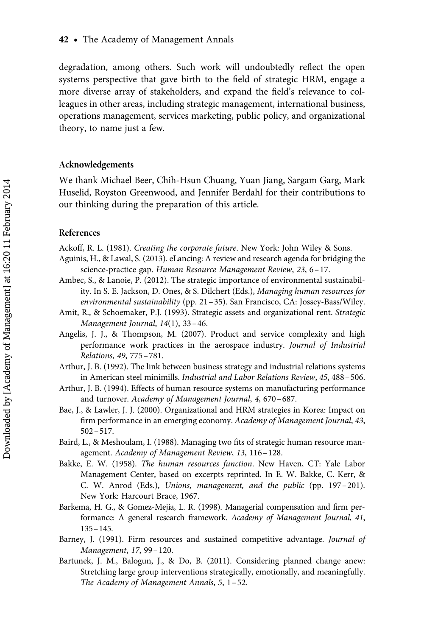<span id="page-43-0"></span>degradation, among others. Such work will undoubtedly reflect the open systems perspective that gave birth to the field of strategic HRM, engage a more diverse array of stakeholders, and expand the field's relevance to colleagues in other areas, including strategic management, international business, operations management, services marketing, public policy, and organizational theory, to name just a few.

# Acknowledgements

We thank Michael Beer, Chih-Hsun Chuang, Yuan Jiang, Sargam Garg, Mark Huselid, Royston Greenwood, and Jennifer Berdahl for their contributions to our thinking during the preparation of this article.

# References

Ackoff, R. L. (1981). Creating the corporate future. New York: John Wiley & Sons.

- Aguinis, H., & Lawal, S. (2013). eLancing: A review and research agenda for bridging the science-practice gap. Human Resource Management Review, 23, 6–17.
- Ambec, S., & Lanoie, P. (2012). The strategic importance of environmental sustainability. In S. E. Jackson, D. Ones, & S. Dilchert (Eds.), Managing human resources for environmental sustainability (pp. 21–35). San Francisco, CA: Jossey-Bass/Wiley.
- Amit, R., & Schoemaker, P.J. (1993). Strategic assets and organizational rent. Strategic Management Journal, 14(1), 33–46.
- Angelis, J. J., & Thompson, M. (2007). Product and service complexity and high performance work practices in the aerospace industry. Journal of Industrial Relations, 49, 775–781.
- Arthur, J. B. (1992). The link between business strategy and industrial relations systems in American steel minimills. Industrial and Labor Relations Review, 45, 488–506.
- Arthur, J. B. (1994). Effects of human resource systems on manufacturing performance and turnover. Academy of Management Journal, 4, 670–687.
- Bae, J., & Lawler, J. J. (2000). Organizational and HRM strategies in Korea: Impact on firm performance in an emerging economy. Academy of Management Journal, 43, 502–517.
- Baird, L., & Meshoulam, I. (1988). Managing two fits of strategic human resource management. Academy of Management Review, 13, 116–128.
- Bakke, E. W. (1958). The human resources function. New Haven, CT: Yale Labor Management Center, based on excerpts reprinted. In E. W. Bakke, C. Kerr, & C. W. Anrod (Eds.), Unions, management, and the public (pp. 197–201). New York: Harcourt Brace, 1967.
- Barkema, H. G., & Gomez-Mejia, L. R. (1998). Managerial compensation and firm performance: A general research framework. Academy of Management Journal, 41, 135–145.
- Barney, J. (1991). Firm resources and sustained competitive advantage. Journal of Management, 17, 99–120.
- Bartunek, J. M., Balogun, J., & Do, B. (2011). Considering planned change anew: Stretching large group interventions strategically, emotionally, and meaningfully. The Academy of Management Annals, 5, 1–52.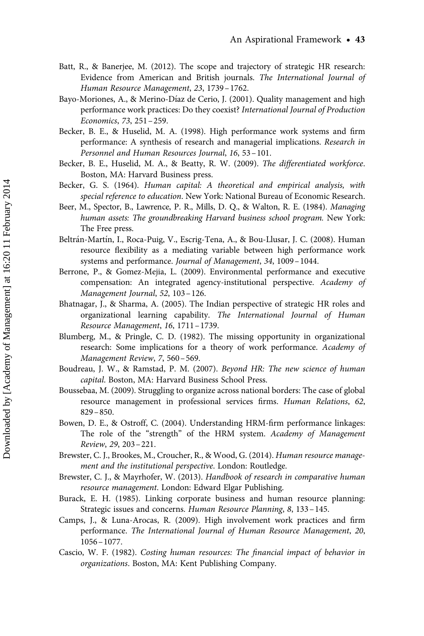- <span id="page-44-0"></span>Batt, R., & Banerjee, M. (2012). The scope and trajectory of strategic HR research: Evidence from American and British journals. The International Journal of Human Resource Management, 23, 1739–1762.
- Bayo-Moriones, A., & Merino-Díaz de Cerio, J. (2001). Quality management and high performance work practices: Do they coexist? International Journal of Production Economics, 73, 251–259.
- Becker, B. E., & Huselid, M. A. (1998). High performance work systems and firm performance: A synthesis of research and managerial implications. Research in Personnel and Human Resources Journal, 16, 53–101.
- Becker, B. E., Huselid, M. A., & Beatty, R. W. (2009). The differentiated workforce. Boston, MA: Harvard Business press.
- Becker, G. S. (1964). Human capital: A theoretical and empirical analysis, with special reference to education. New York: National Bureau of Economic Research.
- Beer, M., Spector, B., Lawrence, P. R., Mills, D. Q., & Walton, R. E. (1984). Managing human assets: The groundbreaking Harvard business school program. New York: The Free press.
- Beltrán-Martín, I., Roca-Puig, V., Escrig-Tena, A., & Bou-Llusar, J. C. (2008). Human resource flexibility as a mediating variable between high performance work systems and performance. Journal of Management, 34, 1009–1044.
- Berrone, P., & Gomez-Mejia, L. (2009). Environmental performance and executive compensation: An integrated agency-institutional perspective. Academy of Management Journal, 52, 103–126.
- Bhatnagar, J., & Sharma, A. (2005). The Indian perspective of strategic HR roles and organizational learning capability. The International Journal of Human Resource Management, 16, 1711–1739.
- Blumberg, M., & Pringle, C. D. (1982). The missing opportunity in organizational research: Some implications for a theory of work performance. Academy of Management Review, 7, 560–569.
- Boudreau, J. W., & Ramstad, P. M. (2007). Beyond HR: The new science of human capital. Boston, MA: Harvard Business School Press.
- Boussebaa, M. (2009). Struggling to organize across national borders: The case of global resource management in professional services firms. Human Relations, 62, 829–850.
- Bowen, D. E., & Ostroff, C. (2004). Understanding HRM-firm performance linkages: The role of the "strength" of the HRM system. Academy of Management Review, 29, 203–221.
- Brewster, C. J., Brookes, M., Croucher, R., & Wood, G. (2014). Human resource management and the institutional perspective. London: Routledge.
- Brewster, C. J., & Mayrhofer, W. (2013). Handbook of research in comparative human resource management. London: Edward Elgar Publishing.
- Burack, E. H. (1985). Linking corporate business and human resource planning: Strategic issues and concerns. Human Resource Planning, 8, 133–145.
- Camps, J., & Luna-Arocas, R. (2009). High involvement work practices and firm performance. The International Journal of Human Resource Management, 20, 1056–1077.
- Cascio, W. F. (1982). Costing human resources: The financial impact of behavior in organizations. Boston, MA: Kent Publishing Company.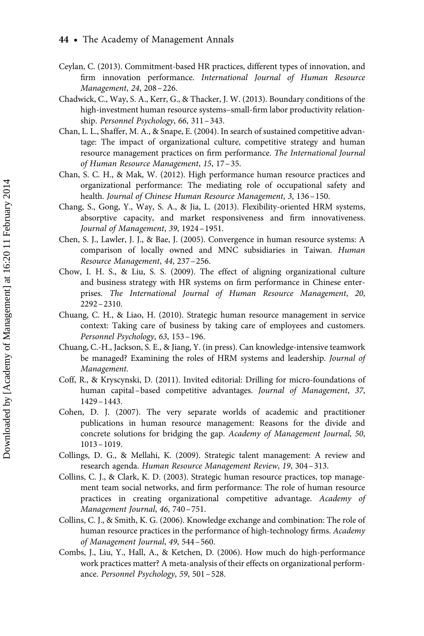- <span id="page-45-0"></span>Ceylan, C. (2013). Commitment-based HR practices, different types of innovation, and firm innovation performance. International Journal of Human Resource Management, 24, 208–226.
- Chadwick, C., Way, S. A., Kerr, G., & Thacker, J. W. (2013). Boundary conditions of the high-investment human resource systems–small-firm labor productivity relationship. Personnel Psychology, 66, 311–343.
- Chan, L. L., Shaffer, M. A., & Snape, E. (2004). In search of sustained competitive advantage: The impact of organizational culture, competitive strategy and human resource management practices on firm performance. The International Journal of Human Resource Management, 15, 17–35.
- Chan, S. C. H., & Mak, W. (2012). High performance human resource practices and organizational performance: The mediating role of occupational safety and health. Journal of Chinese Human Resource Management, 3, 136–150.
- Chang, S., Gong, Y., Way, S. A., & Jia, L. (2013). Flexibility-oriented HRM systems, absorptive capacity, and market responsiveness and firm innovativeness. Journal of Management, 39, 1924–1951.
- Chen, S. J., Lawler, J. J., & Bae, J. (2005). Convergence in human resource systems: A comparison of locally owned and MNC subsidiaries in Taiwan. Human Resource Management, 44, 237–256.
- Chow, I. H. S., & Liu, S. S. (2009). The effect of aligning organizational culture and business strategy with HR systems on firm performance in Chinese enterprises. The International Journal of Human Resource Management, 20, 2292–2310.
- Chuang, C. H., & Liao, H. (2010). Strategic human resource management in service context: Taking care of business by taking care of employees and customers. Personnel Psychology, 63, 153–196.
- Chuang, C.-H., Jackson, S. E., & Jiang, Y. (in press). Can knowledge-intensive teamwork be managed? Examining the roles of HRM systems and leadership. Journal of Management.
- Coff, R., & Kryscynski, D. (2011). Invited editorial: Drilling for micro-foundations of human capital– based competitive advantages. Journal of Management, 37, 1429–1443.
- Cohen, D. J. (2007). The very separate worlds of academic and practitioner publications in human resource management: Reasons for the divide and concrete solutions for bridging the gap. Academy of Management Journal, 50, 1013–1019.
- Collings, D. G., & Mellahi, K. (2009). Strategic talent management: A review and research agenda. Human Resource Management Review, 19, 304–313.
- Collins, C. J., & Clark, K. D. (2003). Strategic human resource practices, top management team social networks, and firm performance: The role of human resource practices in creating organizational competitive advantage. Academy of Management Journal, 46, 740–751.
- Collins, C. J., & Smith, K. G. (2006). Knowledge exchange and combination: The role of human resource practices in the performance of high-technology firms. Academy of Management Journal, 49, 544–560.
- Combs, J., Liu, Y., Hall, A., & Ketchen, D. (2006). How much do high-performance work practices matter? A meta-analysis of their effects on organizational performance. Personnel Psychology, 59, 501–528.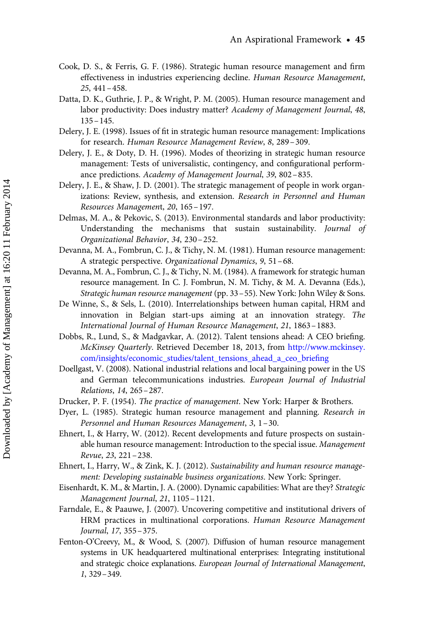- <span id="page-46-0"></span>Cook, D. S., & Ferris, G. F. (1986). Strategic human resource management and firm effectiveness in industries experiencing decline. Human Resource Management, 25, 441–458.
- Datta, D. K., Guthrie, J. P., & Wright, P. M. (2005). Human resource management and labor productivity: Does industry matter? Academy of Management Journal, 48, 135–145.
- Delery, J. E. (1998). Issues of fit in strategic human resource management: Implications for research. Human Resource Management Review, 8, 289–309.
- Delery, J. E., & Doty, D. H. (1996). Modes of theorizing in strategic human resource management: Tests of universalistic, contingency, and configurational performance predictions. Academy of Management Journal, 39, 802–835.
- Delery, J. E., & Shaw, J. D. (2001). The strategic management of people in work organizations: Review, synthesis, and extension. Research in Personnel and Human Resources Management, 20, 165–197.
- Delmas, M. A., & Pekovic, S. (2013). Environmental standards and labor productivity: Understanding the mechanisms that sustain sustainability. Journal Organizational Behavior, 34, 230–252.
- Devanna, M. A., Fombrun, C. J., & Tichy, N. M. (1981). Human resource management: A strategic perspective. Organizational Dynamics, 9, 51–68.
- Devanna, M. A., Fombrun, C. J., & Tichy, N. M. (1984). A framework for strategic human resource management. In C. J. Fombrun, N. M. Tichy, & M. A. Devanna (Eds.), Strategic human resource management (pp. 33–55). New York: John Wiley & Sons.
- De Winne, S., & Sels, L. (2010). Interrelationships between human capital, HRM and innovation in Belgian start-ups aiming at an innovation strategy. The International Journal of Human Resource Management, 21, 1863–1883.
- Dobbs, R., Lund, S., & Madgavkar, A. (2012). Talent tensions ahead: A CEO briefing. McKinsey Quarterly. Retrieved December 18, 2013, from [http://www.mckinsey.](http://www.mckinsey.com/insights/economic_studies/talent_tensions_ahead_a_ceo_briefing) [com/insights/economic\\_studies/talent\\_tensions\\_ahead\\_a\\_ceo\\_briefing](http://www.mckinsey.com/insights/economic_studies/talent_tensions_ahead_a_ceo_briefing)
- Doellgast, V. (2008). National industrial relations and local bargaining power in the US and German telecommunications industries. European Journal of Industrial Relations, 14, 265–287.
- Drucker, P. F. (1954). The practice of management. New York: Harper & Brothers.
- Dyer, L. (1985). Strategic human resource management and planning. Research in Personnel and Human Resources Management, 3, 1–30.
- Ehnert, I., & Harry, W. (2012). Recent developments and future prospects on sustainable human resource management: Introduction to the special issue. Management Revue, 23, 221–238.
- Ehnert, I., Harry, W., & Zink, K. J. (2012). Sustainability and human resource management: Developing sustainable business organizations. New York: Springer.
- Eisenhardt, K. M., & Martin, J. A. (2000). Dynamic capabilities: What are they? Strategic Management Journal, 21, 1105–1121.
- Farndale, E., & Paauwe, J. (2007). Uncovering competitive and institutional drivers of HRM practices in multinational corporations. Human Resource Management Journal, 17, 355–375.
- Fenton-O'Creevy, M., & Wood, S. (2007). Diffusion of human resource management systems in UK headquartered multinational enterprises: Integrating institutional and strategic choice explanations. European Journal of International Management, 1, 329–349.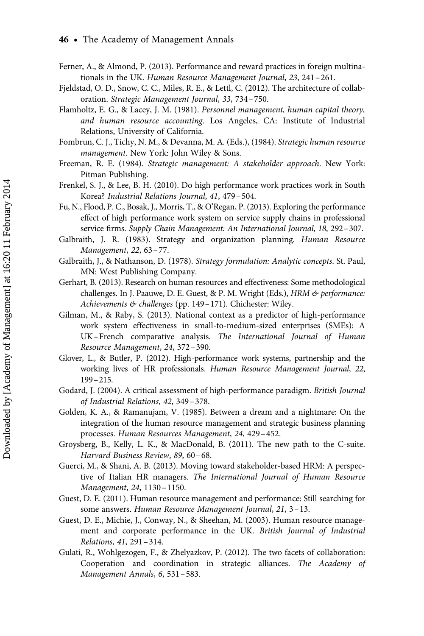- <span id="page-47-0"></span>Ferner, A., & Almond, P. (2013). Performance and reward practices in foreign multinationals in the UK. Human Resource Management Journal, 23, 241–261.
- Fjeldstad, O. D., Snow, C. C., Miles, R. E., & Lettl, C. (2012). The architecture of collaboration. Strategic Management Journal, 33, 734–750.
- Flamholtz, E. G., & Lacey, J. M. (1981). Personnel management, human capital theory, and human resource accounting. Los Angeles, CA: Institute of Industrial Relations, University of California.
- Fombrun, C. J., Tichy, N. M., & Devanna, M. A. (Eds.), (1984). Strategic human resource management. New York: John Wiley & Sons.
- Freeman, R. E. (1984). Strategic management: A stakeholder approach. New York: Pitman Publishing.
- Frenkel, S. J., & Lee, B. H. (2010). Do high performance work practices work in South Korea? Industrial Relations Journal, 41, 479–504.
- Fu, N., Flood, P. C., Bosak, J., Morris, T., & O'Regan, P. (2013). Exploring the performance effect of high performance work system on service supply chains in professional service firms. Supply Chain Management: An International Journal, 18, 292–307.
- Galbraith, J. R. (1983). Strategy and organization planning. Human Resource Management, 22, 63–77.
- Galbraith, J., & Nathanson, D. (1978). Strategy formulation: Analytic concepts. St. Paul, MN: West Publishing Company.
- Gerhart, B. (2013). Research on human resources and effectiveness: Some methodological challenges. In J. Paauwe, D. E. Guest, & P. M. Wright (Eds.), HRM & performance: Achievements & challenges (pp. 149–171). Chichester: Wiley.
- Gilman, M., & Raby, S. (2013). National context as a predictor of high-performance work system effectiveness in small-to-medium-sized enterprises (SMEs): A UK –French comparative analysis. The International Journal of Human Resource Management, 24, 372–390.
- Glover, L., & Butler, P. (2012). High-performance work systems, partnership and the working lives of HR professionals. Human Resource Management Journal, 22, 199–215.
- Godard, J. (2004). A critical assessment of high-performance paradigm. British Journal of Industrial Relations, 42, 349–378.
- Golden, K. A., & Ramanujam, V. (1985). Between a dream and a nightmare: On the integration of the human resource management and strategic business planning processes. Human Resources Management, 24, 429–452.
- Groysberg, B., Kelly, L. K., & MacDonald, B. (2011). The new path to the C-suite. Harvard Business Review, 89, 60–68.
- Guerci, M., & Shani, A. B. (2013). Moving toward stakeholder-based HRM: A perspective of Italian HR managers. The International Journal of Human Resource Management, 24, 1130–1150.
- Guest, D. E. (2011). Human resource management and performance: Still searching for some answers. Human Resource Management Journal, 21, 3–13.
- Guest, D. E., Michie, J., Conway, N., & Sheehan, M. (2003). Human resource management and corporate performance in the UK. British Journal of Industrial Relations, 41, 291–314.
- Gulati, R., Wohlgezogen, F., & Zhelyazkov, P. (2012). The two facets of collaboration: Cooperation and coordination in strategic alliances. The Academy of Management Annals, 6, 531–583.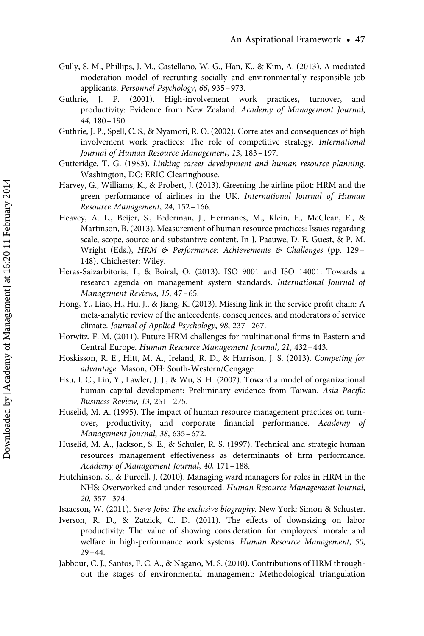- <span id="page-48-0"></span>Gully, S. M., Phillips, J. M., Castellano, W. G., Han, K., & Kim, A. (2013). A mediated moderation model of recruiting socially and environmentally responsible job applicants. Personnel Psychology, 66, 935–973.
- Guthrie, J. P. (2001). High-involvement work practices, turnover, and productivity: Evidence from New Zealand. Academy of Management Journal, 44, 180–190.
- Guthrie, J. P., Spell, C. S., & Nyamori, R. O. (2002). Correlates and consequences of high involvement work practices: The role of competitive strategy. International Journal of Human Resource Management, 13, 183–197.
- Gutteridge, T. G. (1983). Linking career development and human resource planning. Washington, DC: ERIC Clearinghouse.
- Harvey, G., Williams, K., & Probert, J. (2013). Greening the airline pilot: HRM and the green performance of airlines in the UK. International Journal of Human Resource Management, 24, 152–166.
- Heavey, A. L., Beijer, S., Federman, J., Hermanes, M., Klein, F., McClean, E., & Martinson, B. (2013). Measurement of human resource practices: Issues regarding scale, scope, source and substantive content. In J. Paauwe, D. E. Guest, & P. M. Wright (Eds.), HRM & Performance: Achievements & Challenges (pp. 129-148). Chichester: Wiley.
- Heras-Saizarbitoria, I., & Boiral, O. (2013). ISO 9001 and ISO 14001: Towards a research agenda on management system standards. International Journal of Management Reviews, 15, 47–65.
- Hong, Y., Liao, H., Hu, J., & Jiang, K. (2013). Missing link in the service profit chain: A meta-analytic review of the antecedents, consequences, and moderators of service climate. Journal of Applied Psychology, 98, 237–267.
- Horwitz, F. M. (2011). Future HRM challenges for multinational firms in Eastern and Central Europe. Human Resource Management Journal, 21, 432–443.
- Hoskisson, R. E., Hitt, M. A., Ireland, R. D., & Harrison, J. S. (2013). Competing for advantage. Mason, OH: South-Western/Cengage.
- Hsu, I. C., Lin, Y., Lawler, J. J., & Wu, S. H. (2007). Toward a model of organizational human capital development: Preliminary evidence from Taiwan. Asia Pacific Business Review, 13, 251–275.
- Huselid, M. A. (1995). The impact of human resource management practices on turnover, productivity, and corporate financial performance. Academy of Management Journal, 38, 635–672.
- Huselid, M. A., Jackson, S. E., & Schuler, R. S. (1997). Technical and strategic human resources management effectiveness as determinants of firm performance. Academy of Management Journal, 40, 171–188.
- Hutchinson, S., & Purcell, J. (2010). Managing ward managers for roles in HRM in the NHS: Overworked and under-resourced. Human Resource Management Journal, 20, 357–374.
- Isaacson, W. (2011). Steve Jobs: The exclusive biography. New York: Simon & Schuster.
- Iverson, R. D., & Zatzick, C. D. (2011). The effects of downsizing on labor productivity: The value of showing consideration for employees' morale and welfare in high-performance work systems. Human Resource Management, 50,  $29 - 44.$
- Jabbour, C. J., Santos, F. C. A., & Nagano, M. S. (2010). Contributions of HRM throughout the stages of environmental management: Methodological triangulation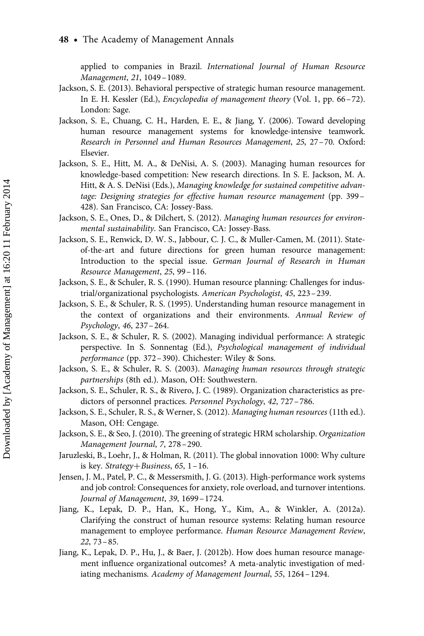<span id="page-49-0"></span>applied to companies in Brazil. International Journal of Human Resource Management, 21, 1049–1089.

- Jackson, S. E. (2013). Behavioral perspective of strategic human resource management. In E. H. Kessler (Ed.), Encyclopedia of management theory (Vol. 1, pp. 66–72). London: Sage.
- Jackson, S. E., Chuang, C. H., Harden, E. E., & Jiang, Y. (2006). Toward developing human resource management systems for knowledge-intensive teamwork. Research in Personnel and Human Resources Management, 25, 27–70. Oxford: Elsevier.
- Jackson, S. E., Hitt, M. A., & DeNisi, A. S. (2003). Managing human resources for knowledge-based competition: New research directions. In S. E. Jackson, M. A. Hitt, & A. S. DeNisi (Eds.), Managing knowledge for sustained competitive advantage: Designing strategies for effective human resource management (pp. 399– 428). San Francisco, CA: Jossey-Bass.
- Jackson, S. E., Ones, D., & Dilchert, S. (2012). Managing human resources for environmental sustainability. San Francisco, CA: Jossey-Bass.
- Jackson, S. E., Renwick, D. W. S., Jabbour, C. J. C., & Muller-Camen, M. (2011). Stateof-the-art and future directions for green human resource management: Introduction to the special issue. German Journal of Research in Human Resource Management, 25, 99–116.
- Jackson, S. E., & Schuler, R. S. (1990). Human resource planning: Challenges for industrial/organizational psychologists. American Psychologist, 45, 223–239.
- Jackson, S. E., & Schuler, R. S. (1995). Understanding human resource management in the context of organizations and their environments. Annual Review of Psychology, 46, 237–264.
- Jackson, S. E., & Schuler, R. S. (2002). Managing individual performance: A strategic perspective. In S. Sonnentag (Ed.), Psychological management of individual performance (pp. 372–390). Chichester: Wiley & Sons.
- Jackson, S. E., & Schuler, R. S. (2003). Managing human resources through strategic partnerships (8th ed.). Mason, OH: Southwestern.
- Jackson, S. E., Schuler, R. S., & Rivero, J. C. (1989). Organization characteristics as predictors of personnel practices. Personnel Psychology, 42, 727–786.
- Jackson, S. E., Schuler, R. S., & Werner, S. (2012). Managing human resources (11th ed.). Mason, OH: Cengage.
- Jackson, S. E., & Seo, J. (2010). The greening of strategic HRM scholarship. Organization Management Journal, 7, 278–290.
- Jaruzleski, B., Loehr, J., & Holman, R. (2011). The global innovation 1000: Why culture is key. Strategy $+B$ usiness, 65, 1 – 16.
- Jensen, J. M., Patel, P. C., & Messersmith, J. G. (2013). High-performance work systems and job control: Consequences for anxiety, role overload, and turnover intentions. Journal of Management, 39, 1699–1724.
- Jiang, K., Lepak, D. P., Han, K., Hong, Y., Kim, A., & Winkler, A. (2012a). Clarifying the construct of human resource systems: Relating human resource management to employee performance. Human Resource Management Review, 22, 73–85.
- Jiang, K., Lepak, D. P., Hu, J., & Baer, J. (2012b). How does human resource management influence organizational outcomes? A meta-analytic investigation of mediating mechanisms. Academy of Management Journal, 55, 1264–1294.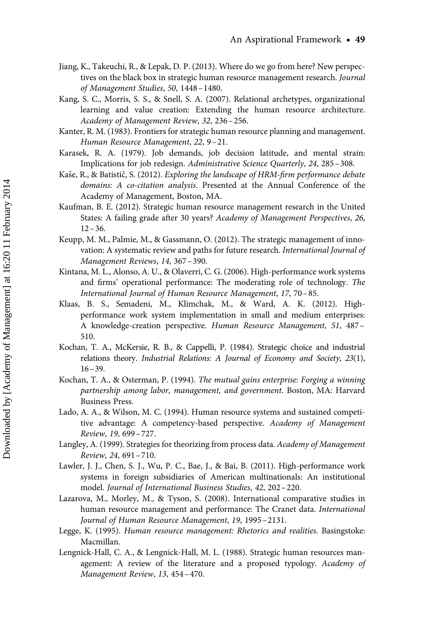- <span id="page-50-0"></span>Jiang, K., Takeuchi, R., & Lepak, D. P. (2013). Where do we go from here? New perspectives on the black box in strategic human resource management research. Journal of Management Studies, 50, 1448–1480.
- Kang, S. C., Morris, S. S., & Snell, S. A. (2007). Relational archetypes, organizational learning and value creation: Extending the human resource architecture. Academy of Management Review, 32, 236–256.
- Kanter, R. M. (1983). Frontiers for strategic human resource planning and management. Human Resource Management, 22, 9–21.
- Karasek, R. A. (1979). Job demands, job decision latitude, and mental strain: Implications for job redesign. Administrative Science Quarterly, 24, 285–308.
- Kaše, R., & Batistič, S. (2012). Exploring the landscape of HRM-firm performance debate domains: A co-citation analysis. Presented at the Annual Conference of the Academy of Management, Boston, MA.
- Kaufman, B. E. (2012). Strategic human resource management research in the United States: A failing grade after 30 years? Academy of Management Perspectives, 26, 12–36.
- Keupp, M. M., Palmie, M., & Gassmann, O. (2012). The strategic management of innovation: A systematic review and paths for future research. International Journal of Management Reviews, 14, 367–390.
- Kintana, M. L., Alonso, A. U., & Olaverri, C. G. (2006). High-performance work systems and firms' operational performance: The moderating role of technology. The International Journal of Human Resource Management, 17, 70–85.
- Klaas, B. S., Semadeni, M., Klimchak, M., & Ward, A. K. (2012). Highperformance work system implementation in small and medium enterprises: A knowledge-creation perspective. Human Resource Management, 51, 487– 510.
- Kochan, T. A., McKersie, R. B., & Cappelli, P. (1984). Strategic choice and industrial relations theory. Industrial Relations: A Journal of Economy and Society, 23(1), 16–39.
- Kochan, T. A., & Osterman, P. (1994). The mutual gains enterprise: Forging a winning partnership among labor, management, and government. Boston, MA: Harvard Business Press.
- Lado, A. A., & Wilson, M. C. (1994). Human resource systems and sustained competitive advantage: A competency-based perspective. Academy of Management Review, 19, 699–727.
- Langley, A. (1999). Strategies for theorizing from process data. Academy of Management Review, 24, 691–710.
- Lawler, J. J., Chen, S. J., Wu, P. C., Bae, J., & Bai, B. (2011). High-performance work systems in foreign subsidiaries of American multinationals: An institutional model. Journal of International Business Studies, 42, 202–220.
- Lazarova, M., Morley, M., & Tyson, S. (2008). International comparative studies in human resource management and performance: The Cranet data. International Journal of Human Resource Management, 19, 1995–2131.
- Legge, K. (1995). Human resource management: Rhetorics and realities. Basingstoke: Macmillan.
- Lengnick-Hall, C. A., & Lengnick-Hall, M. L. (1988). Strategic human resources management: A review of the literature and a proposed typology. Academy of Management Review, 13, 454–470.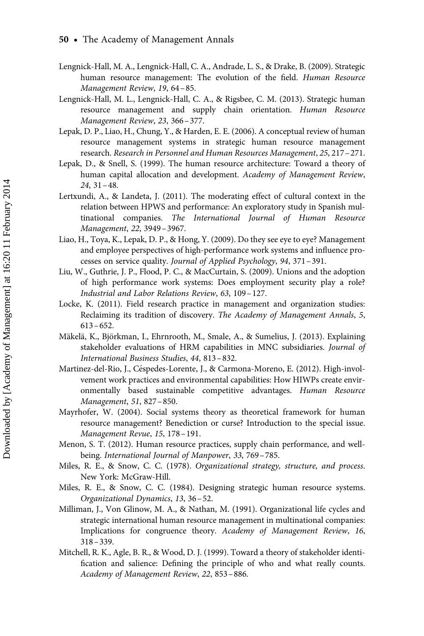- <span id="page-51-0"></span>Lengnick-Hall, M. A., Lengnick-Hall, C. A., Andrade, L. S., & Drake, B. (2009). Strategic human resource management: The evolution of the field. Human Resource Management Review, 19, 64–85.
- Lengnick-Hall, M. L., Lengnick-Hall, C. A., & Rigsbee, C. M. (2013). Strategic human resource management and supply chain orientation. Human Resource Management Review, 23, 366–377.
- Lepak, D. P., Liao, H., Chung, Y., & Harden, E. E. (2006). A conceptual review of human resource management systems in strategic human resource management research. Research in Personnel and Human Resources Management, 25, 217–271.
- Lepak, D., & Snell, S. (1999). The human resource architecture: Toward a theory of human capital allocation and development. Academy of Management Review, 24, 31–48.
- Lertxundi, A., & Landeta, J. (2011). The moderating effect of cultural context in the relation between HPWS and performance: An exploratory study in Spanish multinational companies. The International Journal of Human Resource Management, 22, 3949–3967.
- Liao, H., Toya, K., Lepak, D. P., & Hong, Y. (2009). Do they see eye to eye? Management and employee perspectives of high-performance work systems and influence processes on service quality. Journal of Applied Psychology, 94, 371–391.
- Liu, W., Guthrie, J. P., Flood, P. C., & MacCurtain, S. (2009). Unions and the adoption of high performance work systems: Does employment security play a role? Industrial and Labor Relations Review, 63, 109–127.
- Locke, K. (2011). Field research practice in management and organization studies: Reclaiming its tradition of discovery. The Academy of Management Annals, 5, 613–652.
- Mäkelä, K., Björkman, I., Ehrnrooth, M., Smale, A., & Sumelius, J. (2013). Explaining stakeholder evaluations of HRM capabilities in MNC subsidiaries. Journal of International Business Studies, 44, 813–832.
- Martinez-del-Rio, J., Céspedes-Lorente, J., & Carmona-Moreno, E. (2012). High-involvement work practices and environmental capabilities: How HIWPs create environmentally based sustainable competitive advantages. Human Resource Management, 51, 827–850.
- Mayrhofer, W. (2004). Social systems theory as theoretical framework for human resource management? Benediction or curse? Introduction to the special issue. Management Revue, 15, 178–191.
- Menon, S. T. (2012). Human resource practices, supply chain performance, and wellbeing. International Journal of Manpower, 33, 769–785.
- Miles, R. E., & Snow, C. C. (1978). Organizational strategy, structure, and process. New York: McGraw-Hill.
- Miles, R. E., & Snow, C. C. (1984). Designing strategic human resource systems. Organizational Dynamics, 13, 36–52.
- Milliman, J., Von Glinow, M. A., & Nathan, M. (1991). Organizational life cycles and strategic international human resource management in multinational companies: Implications for congruence theory. Academy of Management Review, 16, 318–339.
- Mitchell, R. K., Agle, B. R., & Wood, D. J. (1999). Toward a theory of stakeholder identification and salience: Defining the principle of who and what really counts. Academy of Management Review, 22, 853–886.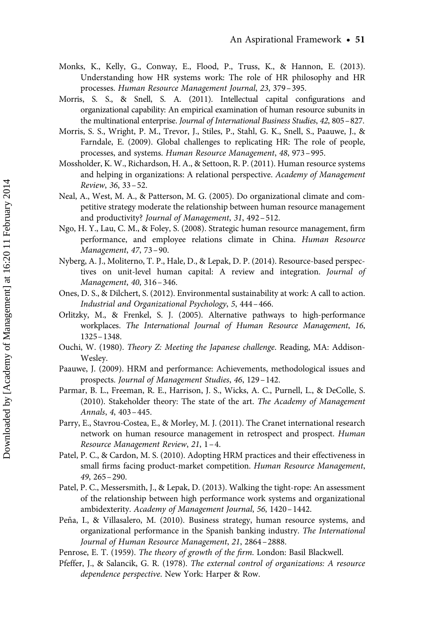- <span id="page-52-0"></span>Monks, K., Kelly, G., Conway, E., Flood, P., Truss, K., & Hannon, E. (2013). Understanding how HR systems work: The role of HR philosophy and HR processes. Human Resource Management Journal, 23, 379–395.
- Morris, S. S., & Snell, S. A. (2011). Intellectual capital configurations and organizational capability: An empirical examination of human resource subunits in the multinational enterprise. Journal of International Business Studies, 42, 805–827.
- Morris, S. S., Wright, P. M., Trevor, J., Stiles, P., Stahl, G. K., Snell, S., Paauwe, J., & Farndale, E. (2009). Global challenges to replicating HR: The role of people, processes, and systems. Human Resource Management, 48, 973–995.
- Mossholder, K. W., Richardson, H. A., & Settoon, R. P. (2011). Human resource systems and helping in organizations: A relational perspective. Academy of Management Review, 36, 33–52.
- Neal, A., West, M. A., & Patterson, M. G. (2005). Do organizational climate and competitive strategy moderate the relationship between human resource management and productivity? Journal of Management, 31, 492–512.
- Ngo, H. Y., Lau, C. M., & Foley, S. (2008). Strategic human resource management, firm performance, and employee relations climate in China. Human Resource Management, 47, 73–90.
- Nyberg, A. J., Moliterno, T. P., Hale, D., & Lepak, D. P. (2014). Resource-based perspectives on unit-level human capital: A review and integration. Journal of Management, 40, 316–346.
- Ones, D. S., & Dilchert, S. (2012). Environmental sustainability at work: A call to action. Industrial and Organizational Psychology, 5, 444–466.
- Orlitzky, M., & Frenkel, S. J. (2005). Alternative pathways to high-performance workplaces. The International Journal of Human Resource Management, 16, 1325–1348.
- Ouchi, W. (1980). Theory Z: Meeting the Japanese challenge. Reading, MA: Addison-Wesley.
- Paauwe, J. (2009). HRM and performance: Achievements, methodological issues and prospects. Journal of Management Studies, 46, 129–142.
- Parmar, B. L., Freeman, R. E., Harrison, J. S., Wicks, A. C., Purnell, L., & DeColle, S. (2010). Stakeholder theory: The state of the art. The Academy of Management Annals, 4, 403–445.
- Parry, E., Stavrou-Costea, E., & Morley, M. J. (2011). The Cranet international research network on human resource management in retrospect and prospect. Human Resource Management Review, 21, 1–4.
- Patel, P. C., & Cardon, M. S. (2010). Adopting HRM practices and their effectiveness in small firms facing product-market competition. Human Resource Management, 49, 265–290.
- Patel, P. C., Messersmith, J., & Lepak, D. (2013). Walking the tight-rope: An assessment of the relationship between high performance work systems and organizational ambidexterity. Academy of Management Journal, 56, 1420–1442.
- Peña, I., & Villasalero, M. (2010). Business strategy, human resource systems, and organizational performance in the Spanish banking industry. The International Journal of Human Resource Management, 21, 2864–2888.
- Penrose, E. T. (1959). The theory of growth of the firm. London: Basil Blackwell.
- Pfeffer, J., & Salancik, G. R. (1978). The external control of organizations: A resource dependence perspective. New York: Harper & Row.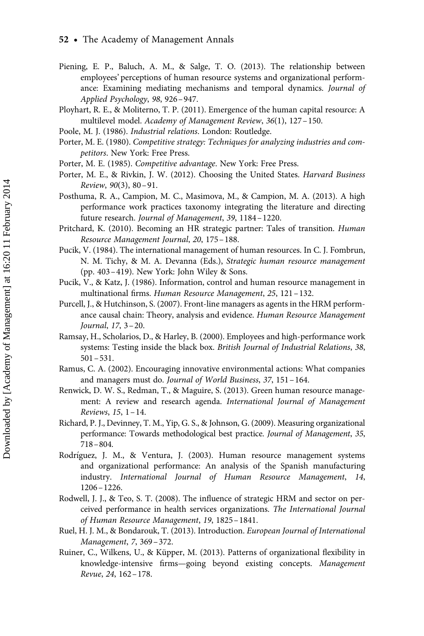<span id="page-53-0"></span>Piening, E. P., Baluch, A. M., & Salge, T. O. (2013). The relationship between employees' perceptions of human resource systems and organizational performance: Examining mediating mechanisms and temporal dynamics. Journal of Applied Psychology, 98, 926–947.

Ployhart, R. E., & Moliterno, T. P. (2011). Emergence of the human capital resource: A multilevel model. Academy of Management Review, 36(1), 127–150.

Poole, M. J. (1986). Industrial relations. London: Routledge.

- Porter, M. E. (1980). Competitive strategy: Techniques for analyzing industries and competitors. New York: Free Press.
- Porter, M. E. (1985). Competitive advantage. New York: Free Press.
- Porter, M. E., & Rivkin, J. W. (2012). Choosing the United States. Harvard Business Review, 90(3), 80–91.
- Posthuma, R. A., Campion, M. C., Masimova, M., & Campion, M. A. (2013). A high performance work practices taxonomy integrating the literature and directing future research. Journal of Management, 39, 1184–1220.
- Pritchard, K. (2010). Becoming an HR strategic partner: Tales of transition. Human Resource Management Journal, 20, 175–188.
- Pucik, V. (1984). The international management of human resources. In C. J. Fombrun, N. M. Tichy, & M. A. Devanna (Eds.), Strategic human resource management (pp. 403–419). New York: John Wiley & Sons.
- Pucik, V., & Katz, J. (1986). Information, control and human resource management in multinational firms. Human Resource Management, 25, 121–132.
- Purcell, J., & Hutchinson, S. (2007). Front-line managers as agents in the HRM performance causal chain: Theory, analysis and evidence. Human Resource Management Journal, 17, 3–20.
- Ramsay, H., Scholarios, D., & Harley, B. (2000). Employees and high-performance work systems: Testing inside the black box. British Journal of Industrial Relations, 38, 501–531.
- Ramus, C. A. (2002). Encouraging innovative environmental actions: What companies and managers must do. Journal of World Business, 37, 151–164.
- Renwick, D. W. S., Redman, T., & Maguire, S. (2013). Green human resource management: A review and research agenda. International Journal of Management Reviews, 15, 1–14.
- Richard, P. J., Devinney, T. M., Yip, G. S., & Johnson, G. (2009). Measuring organizational performance: Towards methodological best practice. Journal of Management, 35, 718–804.
- Rodríguez, J. M., & Ventura, J. (2003). Human resource management systems and organizational performance: An analysis of the Spanish manufacturing industry. International Journal of Human Resource Management, 14, 1206–1226.
- Rodwell, J. J., & Teo, S. T. (2008). The influence of strategic HRM and sector on perceived performance in health services organizations. The International Journal of Human Resource Management, 19, 1825–1841.
- Ruel, H. J. M., & Bondarouk, T. (2013). Introduction. European Journal of International Management, 7, 369–372.
- Ruiner, C., Wilkens, U., & Küpper, M. (2013). Patterns of organizational flexibility in knowledge-intensive firms—going beyond existing concepts. Management Revue, 24, 162–178.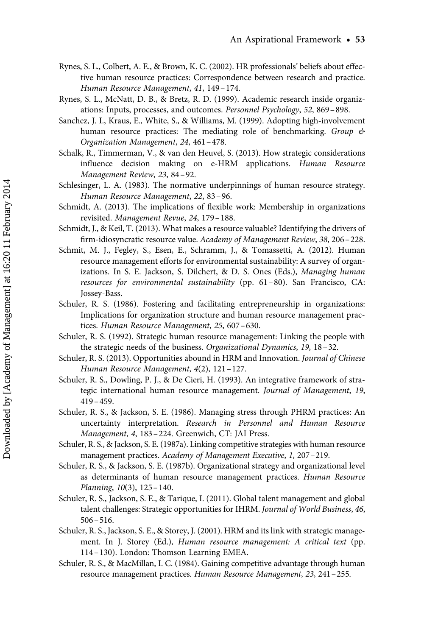- <span id="page-54-0"></span>Rynes, S. L., Colbert, A. E., & Brown, K. C. (2002). HR professionals' beliefs about effective human resource practices: Correspondence between research and practice. Human Resource Management, 41, 149–174.
- Rynes, S. L., McNatt, D. B., & Bretz, R. D. (1999). Academic research inside organizations: Inputs, processes, and outcomes. Personnel Psychology, 52, 869–898.
- Sanchez, J. I., Kraus, E., White, S., & Williams, M. (1999). Adopting high-involvement human resource practices: The mediating role of benchmarking. Group & Organization Management, 24, 461–478.
- Schalk, R., Timmerman, V., & van den Heuvel, S. (2013). How strategic considerations influence decision making on e-HRM applications. Human Resource Management Review, 23, 84–92.
- Schlesinger, L. A. (1983). The normative underpinnings of human resource strategy. Human Resource Management, 22, 83–96.
- Schmidt, A. (2013). The implications of flexible work: Membership in organizations revisited. Management Revue, 24, 179–188.
- Schmidt, J., & Keil, T. (2013). What makes a resource valuable? Identifying the drivers of firm-idiosyncratic resource value. Academy of Management Review, 38, 206–228.
- Schmit, M. J., Fegley, S., Esen, E., Schramm, J., & Tomassetti, A. (2012). Human resource management efforts for environmental sustainability: A survey of organizations. In S. E. Jackson, S. Dilchert, & D. S. Ones (Eds.), Managing human resources for environmental sustainability (pp. 61–80). San Francisco, CA: Jossey-Bass.
- Schuler, R. S. (1986). Fostering and facilitating entrepreneurship in organizations: Implications for organization structure and human resource management practices. Human Resource Management, 25, 607–630.
- Schuler, R. S. (1992). Strategic human resource management: Linking the people with the strategic needs of the business. Organizational Dynamics, 19, 18–32.
- Schuler, R. S. (2013). Opportunities abound in HRM and Innovation. Journal of Chinese Human Resource Management, 4(2), 121–127.
- Schuler, R. S., Dowling, P. J., & De Cieri, H. (1993). An integrative framework of strategic international human resource management. Journal of Management, 19, 419–459.
- Schuler, R. S., & Jackson, S. E. (1986). Managing stress through PHRM practices: An uncertainty interpretation. Research in Personnel and Human Resource Management, 4, 183–224. Greenwich, CT: JAI Press.
- Schuler, R. S., & Jackson, S. E. (1987a). Linking competitive strategies with human resource management practices. Academy of Management Executive, 1, 207–219.
- Schuler, R. S., & Jackson, S. E. (1987b). Organizational strategy and organizational level as determinants of human resource management practices. Human Resource Planning, 10(3), 125–140.
- Schuler, R. S., Jackson, S. E., & Tarique, I. (2011). Global talent management and global talent challenges: Strategic opportunities for IHRM. Journal of World Business, 46, 506–516.
- Schuler, R. S., Jackson, S. E., & Storey, J. (2001). HRM and its link with strategic management. In J. Storey (Ed.), Human resource management: A critical text (pp. 114–130). London: Thomson Learning EMEA.
- Schuler, R. S., & MacMillan, I. C. (1984). Gaining competitive advantage through human resource management practices. Human Resource Management, 23, 241–255.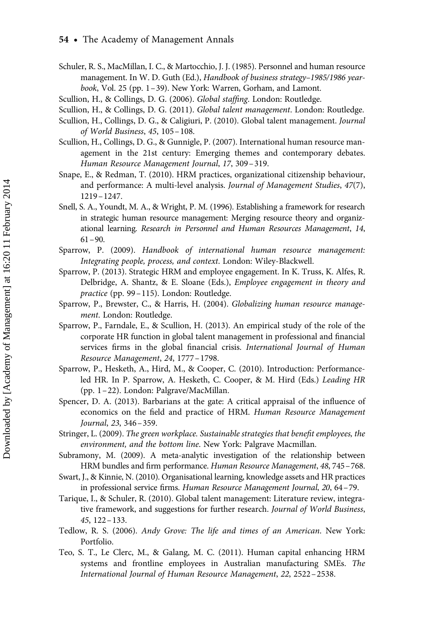- <span id="page-55-0"></span>Schuler, R. S., MacMillan, I. C., & Martocchio, J. J. (1985). Personnel and human resource management. In W. D. Guth (Ed.), Handbook of business strategy–1985/1986 yearbook, Vol. 25 (pp. 1–39). New York: Warren, Gorham, and Lamont.
- Scullion, H., & Collings, D. G. (2006). Global staffing. London: Routledge.
- Scullion, H., & Collings, D. G. (2011). Global talent management. London: Routledge.
- Scullion, H., Collings, D. G., & Caligiuri, P. (2010). Global talent management. Journal of World Business, 45, 105–108.
- Scullion, H., Collings, D. G., & Gunnigle, P. (2007). International human resource management in the 21st century: Emerging themes and contemporary debates. Human Resource Management Journal, 17, 309–319.
- Snape, E., & Redman, T. (2010). HRM practices, organizational citizenship behaviour, and performance: A multi-level analysis. Journal of Management Studies, 47(7), 1219–1247.
- Snell, S. A., Youndt, M. A., & Wright, P. M. (1996). Establishing a framework for research in strategic human resource management: Merging resource theory and organizational learning. Research in Personnel and Human Resources Management, 14, 61–90.
- Sparrow, P. (2009). Handbook of international human resource management: Integrating people, process, and context. London: Wiley-Blackwell.
- Sparrow, P. (2013). Strategic HRM and employee engagement. In K. Truss, K. Alfes, R. Delbridge, A. Shantz, & E. Sloane (Eds.), Employee engagement in theory and practice (pp. 99–115). London: Routledge.
- Sparrow, P., Brewster, C., & Harris, H. (2004). Globalizing human resource management. London: Routledge.
- Sparrow, P., Farndale, E., & Scullion, H. (2013). An empirical study of the role of the corporate HR function in global talent management in professional and financial services firms in the global financial crisis. International Journal of Human Resource Management, 24, 1777–1798.
- Sparrow, P., Hesketh, A., Hird, M., & Cooper, C. (2010). Introduction: Performanceled HR. In P. Sparrow, A. Hesketh, C. Cooper, & M. Hird (Eds.) Leading HR (pp. 1–22). London: Palgrave/MacMillan.
- Spencer, D. A. (2013). Barbarians at the gate: A critical appraisal of the influence of economics on the field and practice of HRM. Human Resource Management Journal, 23, 346–359.
- Stringer, L. (2009). The green workplace. Sustainable strategies that benefit employees, the environment, and the bottom line. New York: Palgrave Macmillan.
- Subramony, M. (2009). A meta-analytic investigation of the relationship between HRM bundles and firm performance. Human Resource Management, 48, 745–768.
- Swart, J., & Kinnie, N. (2010). Organisational learning, knowledge assets and HR practices in professional service firms. Human Resource Management Journal, 20, 64–79.
- Tarique, I., & Schuler, R. (2010). Global talent management: Literature review, integrative framework, and suggestions for further research. Journal of World Business, 45, 122–133.
- Tedlow, R. S. (2006). Andy Grove: The life and times of an American. New York: Portfolio.
- Teo, S. T., Le Clerc, M., & Galang, M. C. (2011). Human capital enhancing HRM systems and frontline employees in Australian manufacturing SMEs. The International Journal of Human Resource Management, 22, 2522–2538.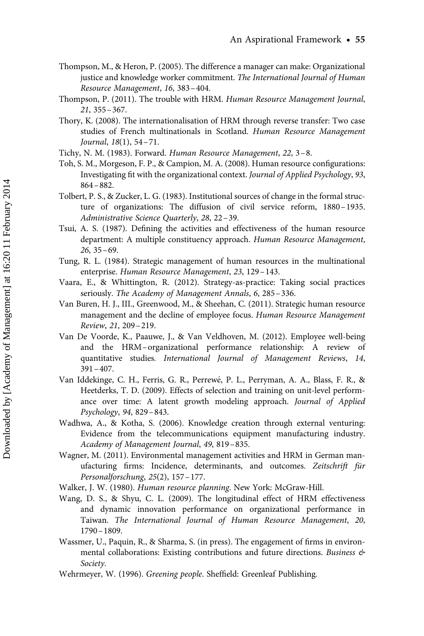- <span id="page-56-0"></span>Thompson, M., & Heron, P. (2005). The difference a manager can make: Organizational justice and knowledge worker commitment. The International Journal of Human Resource Management, 16, 383–404.
- Thompson, P. (2011). The trouble with HRM. Human Resource Management Journal, 21, 355–367.
- Thory, K. (2008). The internationalisation of HRM through reverse transfer: Two case studies of French multinationals in Scotland. Human Resource Management Journal, 18(1), 54–71.
- Tichy, N. M. (1983). Forward. Human Resource Management, 22, 3–8.
- Toh, S. M., Morgeson, F. P., & Campion, M. A. (2008). Human resource configurations: Investigating fit with the organizational context. Journal of Applied Psychology, 93, 864–882.
- Tolbert, P. S., & Zucker, L. G. (1983). Institutional sources of change in the formal structure of organizations: The diffusion of civil service reform, 1880–1935. Administrative Science Quarterly, 28, 22–39.
- Tsui, A. S. (1987). Defining the activities and effectiveness of the human resource department: A multiple constituency approach. Human Resource Management, 26, 35–69.
- Tung, R. L. (1984). Strategic management of human resources in the multinational enterprise. Human Resource Management, 23, 129–143.
- Vaara, E., & Whittington, R. (2012). Strategy-as-practice: Taking social practices seriously. The Academy of Management Annals, 6, 285–336.
- Van Buren, H. J., III., Greenwood, M., & Sheehan, C. (2011). Strategic human resource management and the decline of employee focus. Human Resource Management Review, 21, 209–219.
- Van De Voorde, K., Paauwe, J., & Van Veldhoven, M. (2012). Employee well-being and the HRM– organizational performance relationship: A review of quantitative studies. International Journal of Management Reviews, 14, 391–407.
- Van Iddekinge, C. H., Ferris, G. R., Perrewe´, P. L., Perryman, A. A., Blass, F. R., & Heetderks, T. D. (2009). Effects of selection and training on unit-level performance over time: A latent growth modeling approach. Journal of Applied Psychology, 94, 829–843.
- Wadhwa, A., & Kotha, S. (2006). Knowledge creation through external venturing: Evidence from the telecommunications equipment manufacturing industry. Academy of Management Journal, 49, 819–835.
- Wagner, M. (2011). Environmental management activities and HRM in German manufacturing firms: Incidence, determinants, and outcomes. Zeitschrift für Personalforschung, 25(2), 157–177.
- Walker, J. W. (1980). Human resource planning. New York: McGraw-Hill.
- Wang, D. S., & Shyu, C. L. (2009). The longitudinal effect of HRM effectiveness and dynamic innovation performance on organizational performance in Taiwan. The International Journal of Human Resource Management, 20, 1790–1809.
- Wassmer, U., Paquin, R., & Sharma, S. (in press). The engagement of firms in environmental collaborations: Existing contributions and future directions. Business & Society.
- Wehrmeyer, W. (1996). Greening people. Sheffield: Greenleaf Publishing.